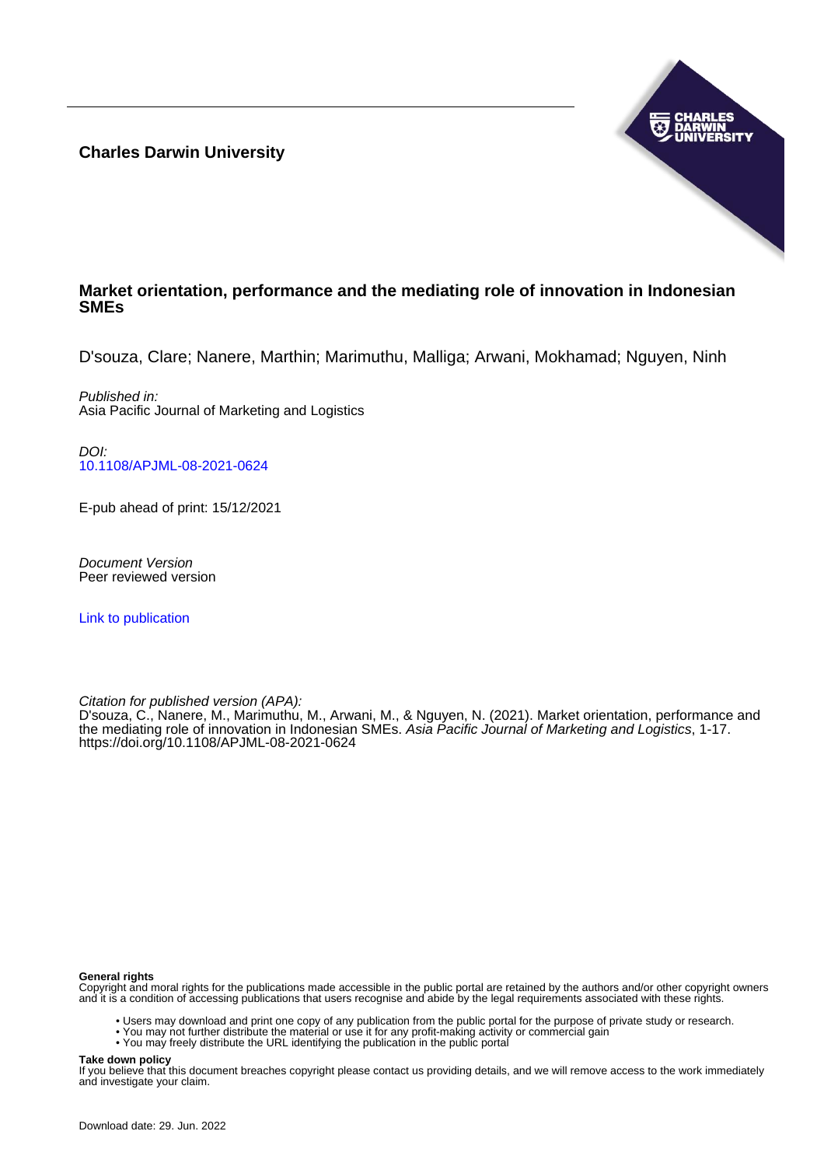**Charles Darwin University**



#### **Market orientation, performance and the mediating role of innovation in Indonesian SMEs**

D'souza, Clare; Nanere, Marthin; Marimuthu, Malliga; Arwani, Mokhamad; Nguyen, Ninh

Published in: Asia Pacific Journal of Marketing and Logistics

DOI: [10.1108/APJML-08-2021-0624](https://doi.org/10.1108/APJML-08-2021-0624)

E-pub ahead of print: 15/12/2021

Document Version Peer reviewed version

[Link to publication](https://researchers.cdu.edu.au/en/publications/64d19572-85b7-4180-a5fd-6f16a241c478)

Citation for published version (APA):

D'souza, C., Nanere, M., Marimuthu, M., Arwani, M., & Nguyen, N. (2021). Market orientation, performance and the mediating role of innovation in Indonesian SMEs. Asia Pacific Journal of Marketing and Logistics, 1-17. <https://doi.org/10.1108/APJML-08-2021-0624>

#### **General rights**

Copyright and moral rights for the publications made accessible in the public portal are retained by the authors and/or other copyright owners and it is a condition of accessing publications that users recognise and abide by the legal requirements associated with these rights.

- Users may download and print one copy of any publication from the public portal for the purpose of private study or research.
- You may not further distribute the material or use it for any profit-making activity or commercial gain
- You may freely distribute the URL identifying the publication in the public portal

#### **Take down policy**

If you believe that this document breaches copyright please contact us providing details, and we will remove access to the work immediately and investigate your claim.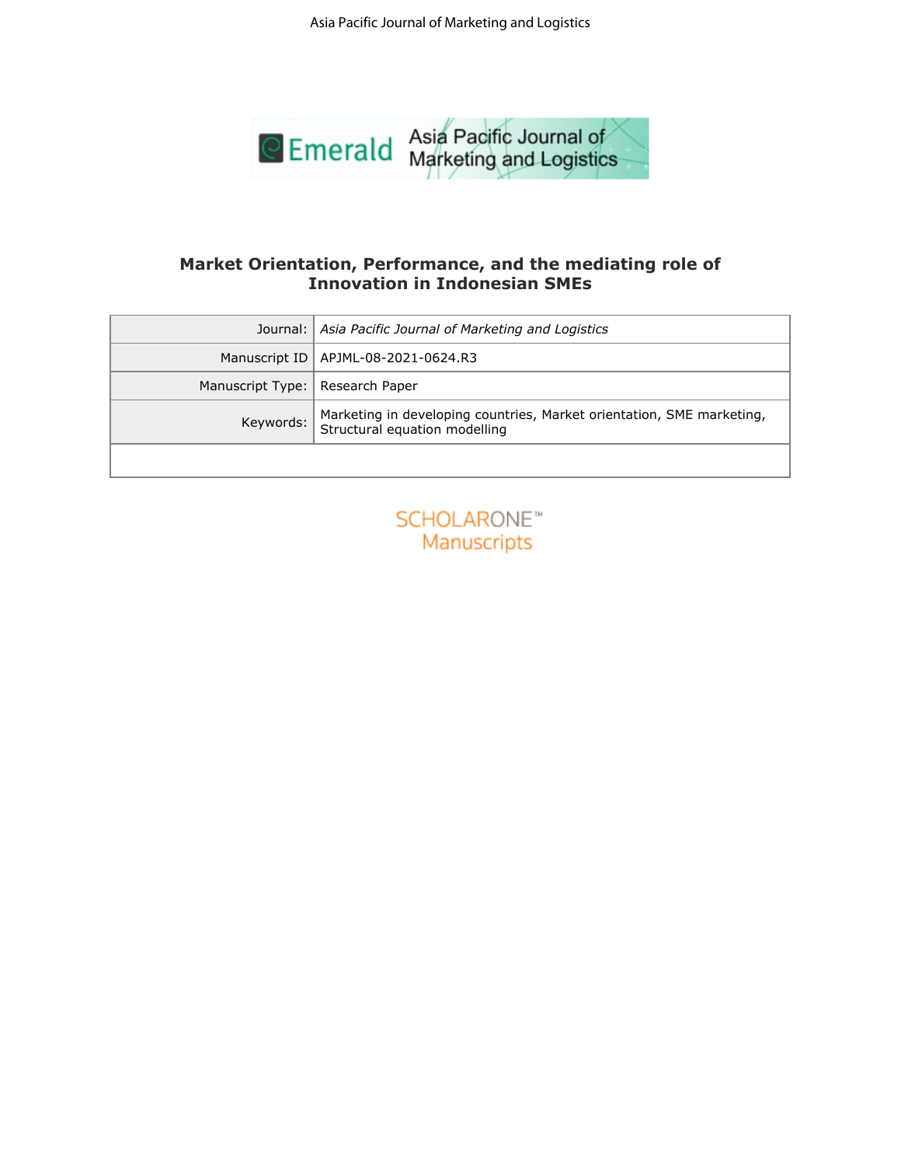

# **Innovation in Indonesian SMEs**

| Journal:         | Asia Pacific Journal of Marketing and Logistics                                                        |
|------------------|--------------------------------------------------------------------------------------------------------|
| Manuscript ID    | APJML-08-2021-0624.R3                                                                                  |
| Manuscript Type: | Research Paper                                                                                         |
| Keywords:        | Marketing in developing countries, Market orientation, SME marketing,<br>Structural equation modelling |
|                  |                                                                                                        |
|                  |                                                                                                        |
|                  |                                                                                                        |

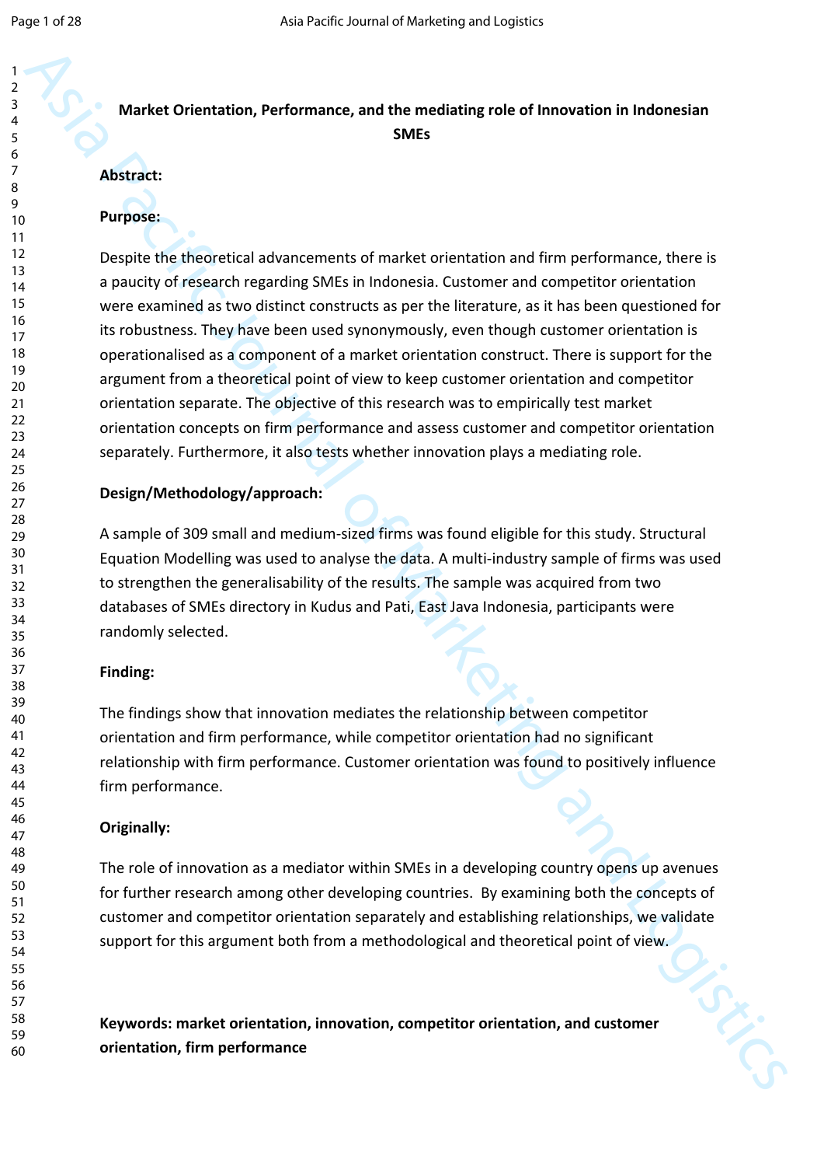# **Market Orientation, Performance, and the mediating role of Innovation in Indonesian SMEs**

#### **Abstract:**

# **Purpose:**

Market Orlentation, Performance, and the mediating role of imnovation in indonesian<br>
Asistract:<br>
Perpete the three<br>critical determinents of market orientation and firm gerformance, there is<br>
Despite the three<br>critical dete Despite the theoretical advancements of market orientation and firm performance, there is a paucity of research regarding SMEs in Indonesia. Customer and competitor orientation were examined as two distinct constructs as per the literature, as it has been questioned for its robustness. They have been used synonymously, even though customer orientation is operationalised as a component of a market orientation construct. There is support for the argument from a theoretical point of view to keep customer orientation and competitor orientation separate. The objective of this research was to empirically test market orientation concepts on firm performance and assess customer and competitor orientation separately. Furthermore, it also tests whether innovation plays a mediating role.

#### **Design/Methodology/approach:**

A sample of 309 small and medium-sized firms was found eligible for this study. Structural Equation Modelling was used to analyse the data. A multi-industry sample of firms was used to strengthen the generalisability of the results. The sample was acquired from two databases of SMEs directory in Kudus and Pati, East Java Indonesia, participants were randomly selected.

#### **Finding:**

The findings show that innovation mediates the relationship between competitor orientation and firm performance, while competitor orientation had no significant relationship with firm performance. Customer orientation was found to positively influence firm performance.

# **Originally:**

The role of innovation as a mediator within SMEs in a developing country opens up avenues for further research among other developing countries. By examining both the concepts of customer and competitor orientation separately and establishing relationships, we validate support for this argument both from a methodological and theoretical point of view.

**Keywords: market orientation, innovation, competitor orientation, and customer orientation, firm performance**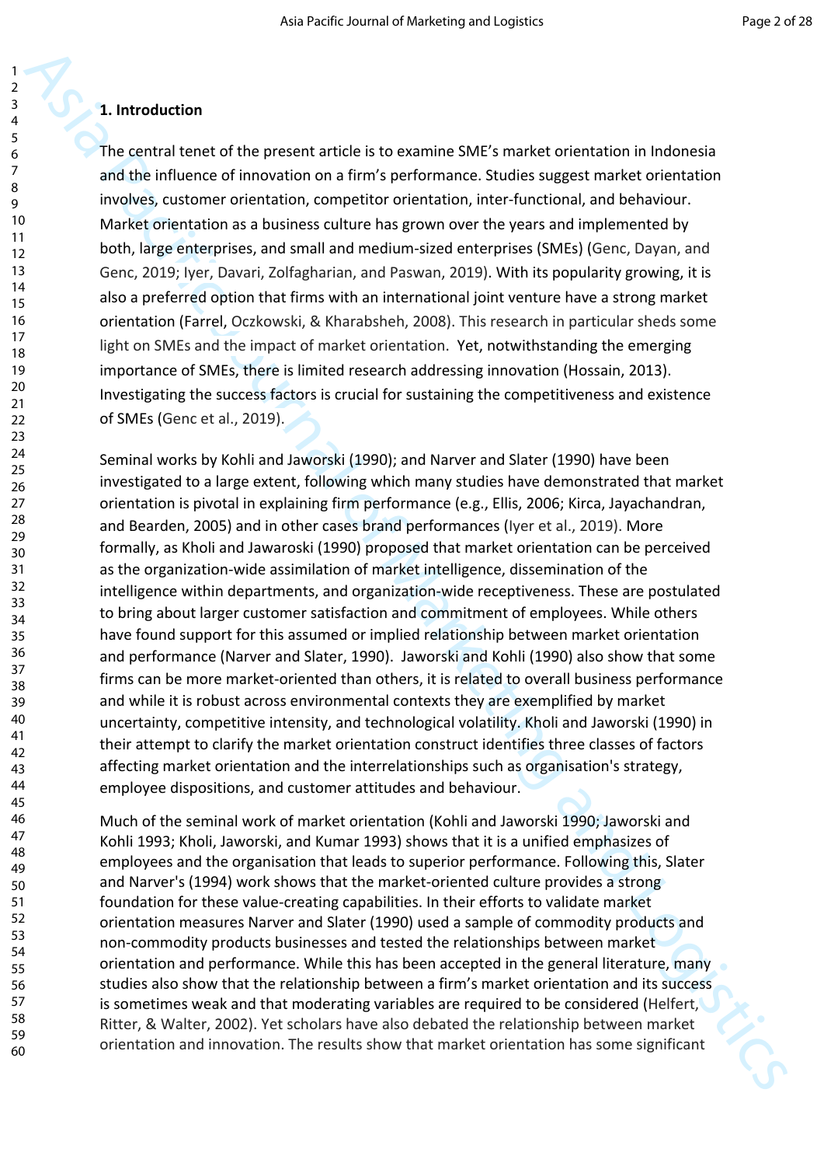# **1. Introduction**

The central tenet of the present article is to examine SME's market orientation in Indonesia and the influence of innovation on a firm's performance. Studies suggest market orientation involves, customer orientation, competitor orientation, inter-functional, and behaviour. Market orientation as a business culture has grown over the years and implemented by both, large enterprises, and small and medium-sized enterprises (SMEs) (Genc, Dayan, and Genc, 2019; Iyer, Davari, Zolfagharian, and Paswan, 2019). With its popularity growing, it is also a preferred option that firms with an international joint venture have a strong market orientation (Farrel, Oczkowski, & Kharabsheh, 2008). This research in particular sheds some light on SMEs and the impact of market orientation. Yet, notwithstanding the emerging importance of SMEs, there is limited research addressing innovation (Hossain, 2013). Investigating the success factors is crucial for sustaining the competitiveness and existence of SMEs (Genc et al., 2019).

The reduction of the present article is to examine SME's market orientation in higheristics and the influence of findows out of mini-performance. Studies suggest market orientation in the present article in the present ar Seminal works by Kohli and Jaworski (1990); and Narver and Slater (1990) have been investigated to a large extent, following which many studies have demonstrated that market orientation is pivotal in explaining firm performance (e.g., Ellis, 2006; Kirca, Jayachandran, and Bearden, 2005) and in other cases brand performances (Iyer et al., 2019). More formally, as Kholi and Jawaroski (1990) proposed that market orientation can be perceived as the organization-wide assimilation of market intelligence, dissemination of the intelligence within departments, and organization-wide receptiveness. These are postulated to bring about larger customer satisfaction and commitment of employees. While others have found support for this assumed or implied relationship between market orientation and performance (Narver and Slater, 1990). Jaworski and Kohli (1990) also show that some firms can be more market-oriented than others, it is related to overall business performance and while it is robust across environmental contexts they are exemplified by market uncertainty, competitive intensity, and technological volatility. Kholi and Jaworski (1990) in their attempt to clarify the market orientation construct identifies three classes of factors affecting market orientation and the interrelationships such as organisation's strategy, employee dispositions, and customer attitudes and behaviour.

Much of the seminal work of market orientation (Kohli and Jaworski 1990; Jaworski and Kohli 1993; Kholi, Jaworski, and Kumar 1993) shows that it is a unified emphasizes of employees and the organisation that leads to superior performance. Following this, Slater and Narver's (1994) work shows that the market-oriented culture provides a strong foundation for these value-creating capabilities. In their efforts to validate market orientation measures Narver and Slater (1990) used a sample of commodity products and non-commodity products businesses and tested the relationships between market orientation and performance. While this has been accepted in the general literature, many studies also show that the relationship between a firm's market orientation and its success is sometimes weak and that moderating variables are required to be considered (Helfert, Ritter, & Walter, 2002). Yet scholars have also debated the relationship between market orientation and innovation. The results show that market orientation has some significant

59 60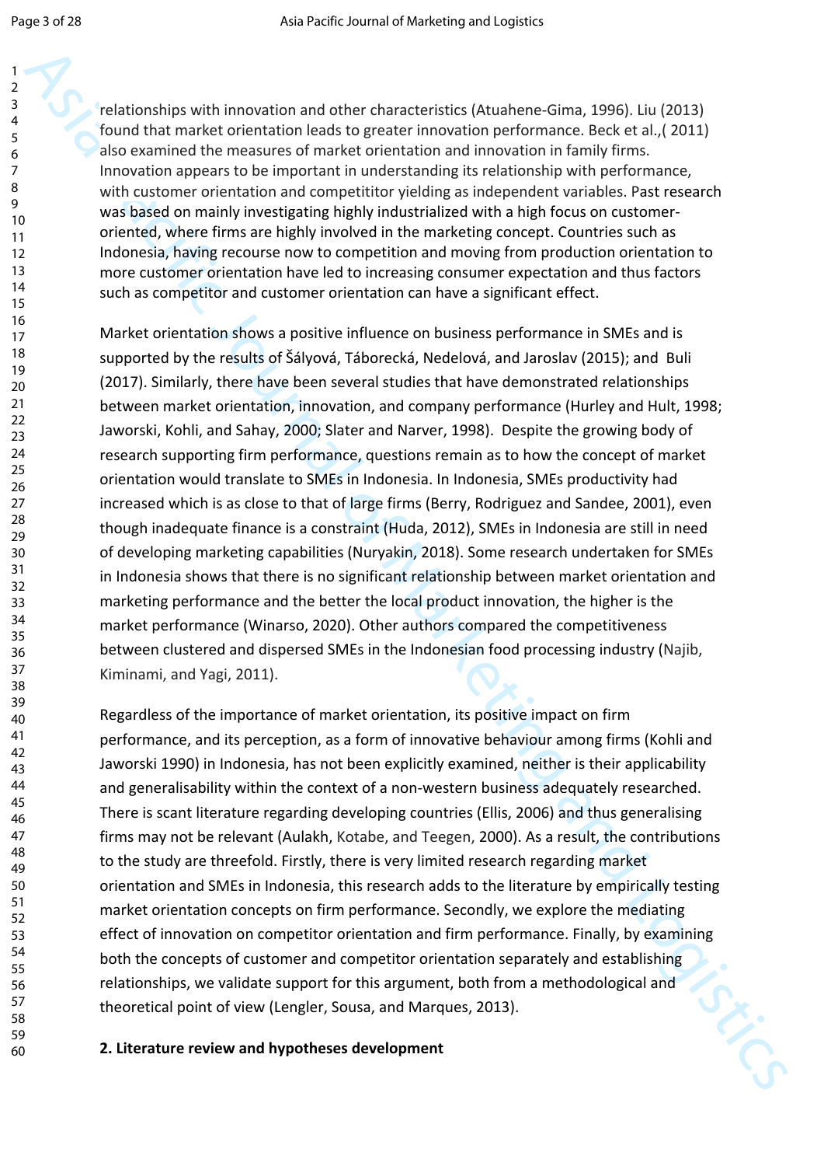60

relationships with innovation and other characteristics (Atuahene-Gima, 1996). Liu (2013) found that market orientation leads to greater innovation performance. Beck et al.,( 2011) also examined the measures of market orientation and innovation in family firms. Innovation appears to be important in understanding its relationship with performance, with customer orientation and competititor yielding as independent variables. Past research was based on mainly investigating highly industrialized with a high focus on customeroriented, where firms are highly involved in the marketing concept. Countries such as Indonesia, having recourse now to competition and moving from production orientation to more customer orientation have led to increasing consumer expectation and thus factors such as competitor and customer orientation can have a significant effect.

relationships with innovation and other characteristics (Attachere Girna, 1996), Dis (2013)<br>
Sixo examined the measures of marketing relationships and characteristics (Attachere Circle) and Journal of Marketing and Logist Market orientation shows a positive influence on business performance in SMEs and is supported by the results of Šályová, Táborecká, Nedelová, and Jaroslav (2015); and Buli (2017). Similarly, there have been several studies that have demonstrated relationships between market orientation, innovation, and company performance (Hurley and Hult, 1998; Jaworski, Kohli, and Sahay, 2000; Slater and Narver, 1998). Despite the growing body of research supporting firm performance, questions remain as to how the concept of market orientation would translate to SMEs in Indonesia. In Indonesia, SMEs productivity had increased which is as close to that of large firms (Berry, Rodriguez and Sandee, 2001), even though inadequate finance is a constraint (Huda, 2012), SMEs in Indonesia are still in need of developing marketing capabilities (Nuryakin, 2018). Some research undertaken for SMEs in Indonesia shows that there is no significant relationship between market orientation and marketing performance and the better the local product innovation, the higher is the market performance (Winarso, 2020). Other authors compared the competitiveness between clustered and dispersed SMEs in the Indonesian food processing industry (Najib, Kiminami, and Yagi, 2011).

Regardless of the importance of market orientation, its positive impact on firm performance, and its perception, as a form of innovative behaviour among firms (Kohli and Jaworski 1990) in Indonesia, has not been explicitly examined, neither is their applicability and generalisability within the context of a non-western business adequately researched. There is scant literature regarding developing countries (Ellis, 2006) and thus generalising firms may not be relevant (Aulakh, Kotabe, and Teegen, 2000). As a result, the contributions to the study are threefold. Firstly, there is very limited research regarding market orientation and SMEs in Indonesia, this research adds to the literature by empirically testing market orientation concepts on firm performance. Secondly, we explore the mediating effect of innovation on competitor orientation and firm performance. Finally, by examining both the concepts of customer and competitor orientation separately and establishing relationships, we validate support for this argument, both from a methodological and theoretical point of view (Lengler, Sousa, and Marques, 2013).

#### **2. Literature review and hypotheses development**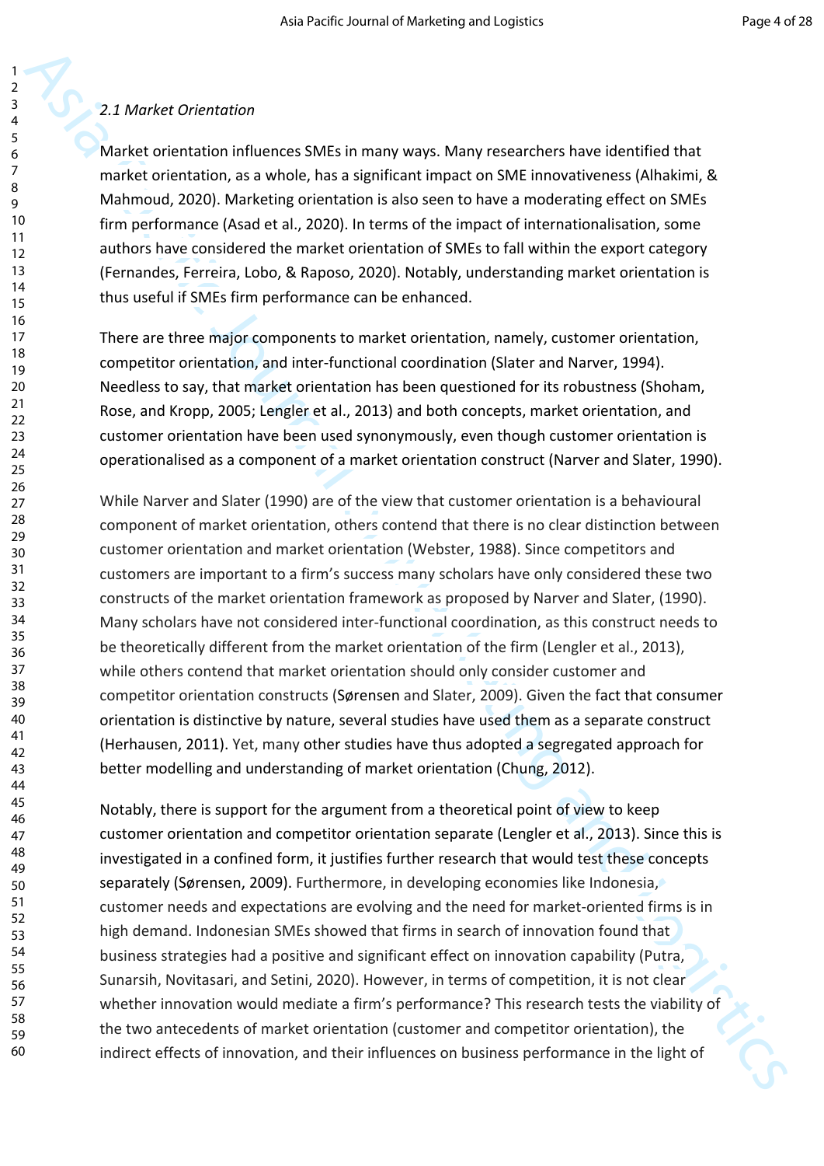#### *2.1 Market Orientation*

Market orientation influences SMEs in many ways. Many researchers have identified that market orientation, as a whole, has a significant impact on SME innovativeness (Alhakimi, & Mahmoud, 2020). Marketing orientation is also seen to have a moderating effect on SMEs firm performance (Asad et al., 2020). In terms of the impact of internationalisation, some authors have considered the market orientation of SMEs to fall within the export category (Fernandes, Ferreira, Lobo, & Raposo, 2020). Notably, understanding market orientation is thus useful if SMEs firm performance can be enhanced.

There are three major components to market orientation, namely, customer orientation, competitor orientation, and inter-functional coordination (Slater and Narver, 1994). Needless to say, that market orientation has been questioned for its robustness (Shoham, Rose, and Kropp, 2005; Lengler et al., 2013) and both concepts, market orientation, and customer orientation have been used synonymously, even though customer orientation is operationalised as a component of a market orientation construct (Narver and Slater, 1990).

2.2 Market Orientation in then the sites in many ways. Many researches have identified that market onentation, is a whole, he a significant most on SME innovertionens (Albalaim, & Marketing contration), as a whole, he and While Narver and Slater (1990) are of the view that customer orientation is a behavioural component of market orientation, others contend that there is no clear distinction between customer orientation and market orientation (Webster, 1988). Since competitors and customers are important to a firm's success many scholars have only considered these two constructs of the market orientation framework as proposed by Narver and Slater, (1990). Many scholars have not considered inter-functional coordination, as this construct needs to be theoretically different from the market orientation of the firm (Lengler et al., 2013), while others contend that market orientation should only consider customer and competitor orientation constructs (Sørensen and Slater, 2009). Given the fact that consumer orientation is distinctive by nature, several studies have used them as a separate construct (Herhausen, 2011). Yet, many other studies have thus adopted a segregated approach for better modelling and understanding of market orientation (Chung, 2012).

Notably, there is support for the argument from a theoretical point of view to keep customer orientation and competitor orientation separate (Lengler et al., 2013). Since this is investigated in a confined form, it justifies further research that would test these concepts separately (Sørensen, 2009). Furthermore, in developing economies like Indonesia, customer needs and expectations are evolving and the need for market-oriented firms is in high demand. Indonesian SMEs showed that firms in search of innovation found that business strategies had a positive and significant effect on innovation capability (Putra, Sunarsih, Novitasari, and Setini, 2020). However, in terms of competition, it is not clear whether innovation would mediate a firm's performance? This research tests the viability of the two antecedents of market orientation (customer and competitor orientation), the indirect effects of innovation, and their influences on business performance in the light of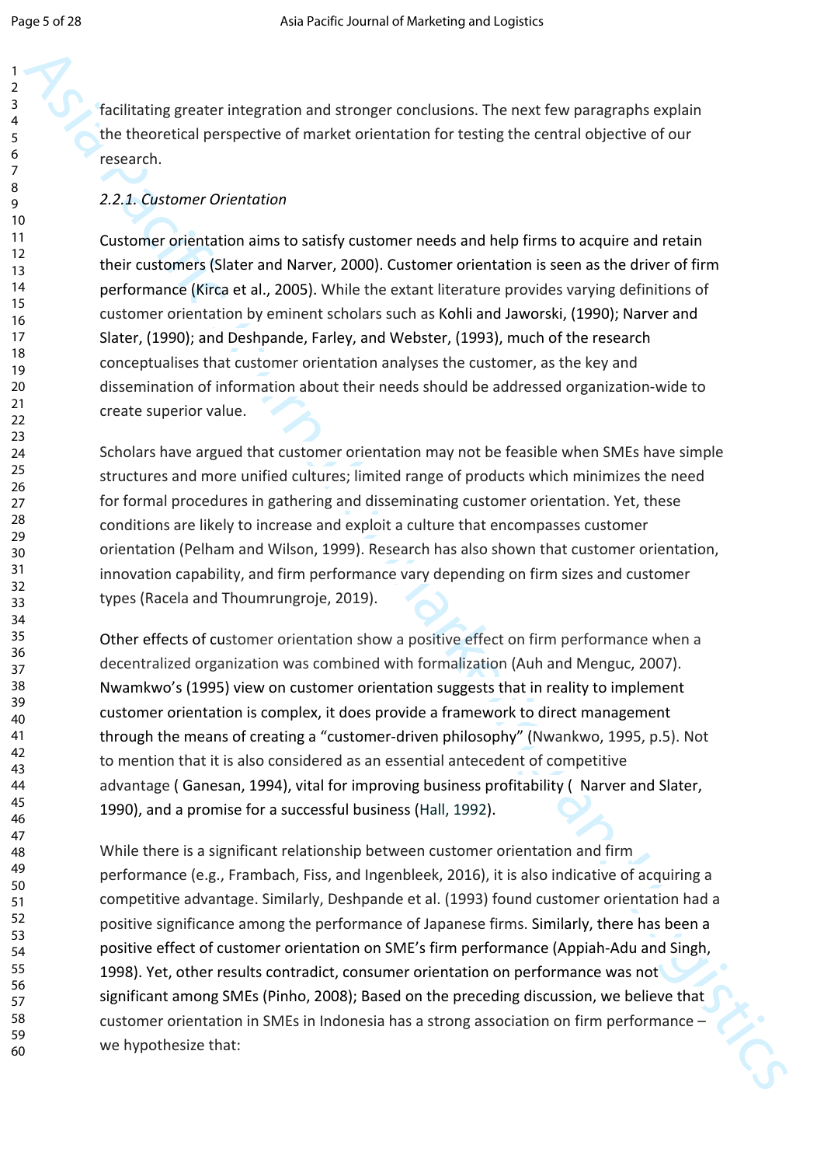facilitating greater integration and stronger conclusions. The next few paragraphs explain the theoretical perspective of market orientation for testing the central objective of our research.

# *2.2.1. Customer Orientation*

Customer orientation aims to satisfy customer needs and help firms to acquire and retain their customers (Slater and Narver, 2000). Customer orientation is seen as the driver of firm performance (Kirca et al., 2005). While the extant literature provides varying definitions of customer orientation by eminent scholars such as Kohli and Jaworski, (1990); Narver and Slater, (1990); and Deshpande, Farley, and Webster, (1993), much of the research conceptualises that customer orientation analyses the customer, as the key and dissemination of information about their needs should be addressed organization-wide to create superior value.

Scholars have argued that customer orientation may not be feasible when SMEs have simple structures and more unified cultures; limited range of products which minimizes the need for formal procedures in gathering and disseminating customer orientation. Yet, these conditions are likely to increase and exploit a culture that encompasses customer orientation (Pelham and Wilson, 1999). Research has also shown that customer orientation, innovation capability, and firm performance vary depending on firm sizes and customer types (Racela and Thoumrungroje, 2019).

Other effects of customer orientation show a positive effect on firm performance when a decentralized organization was combined with formalization (Auh and Menguc, 2007). Nwamkwo's (1995) view on customer orientation suggests that in reality to implement customer orientation is complex, it does provide a framework to direct management through the means of creating a "customer-driven philosophy" (Nwankwo, 1995, p.5). Not to mention that it is also considered as an essential antecedent of competitive advantage ( Ganesan, 1994), vital for improving business profitability ( Narver and Slater, 1990), and a promise for a successful business (Hall, 1992).

Findlin[a](https://www.emerald.com/insight/content/doi/10.1108/07363769510103856/full/html#b18)tion greater interaction and stronger conclusions. The next few paragraphs excitain<br>the interaction concerned with a statistical concerned and the phoroidistics of the statistical concernent concerned and the cust While there is a significant relationship between customer orientation and firm performance (e.g., Frambach, Fiss, and Ingenbleek, 2016), it is also indicative of acquiring a competitive advantage. Similarly, Deshpande et al. (1993) found customer orientation had a positive significance among the performance of Japanese firms. Similarly, there has been a positive effect of customer orientation on SME's firm performance (Appiah-Adu and Singh, 1998). Yet, other results contradict, consumer orientation on performance was not significant among SMEs (Pinho, 2008); Based on the preceding discussion, we believe that customer orientation in SMEs in Indonesia has a strong association on firm performance – we hypothesize that: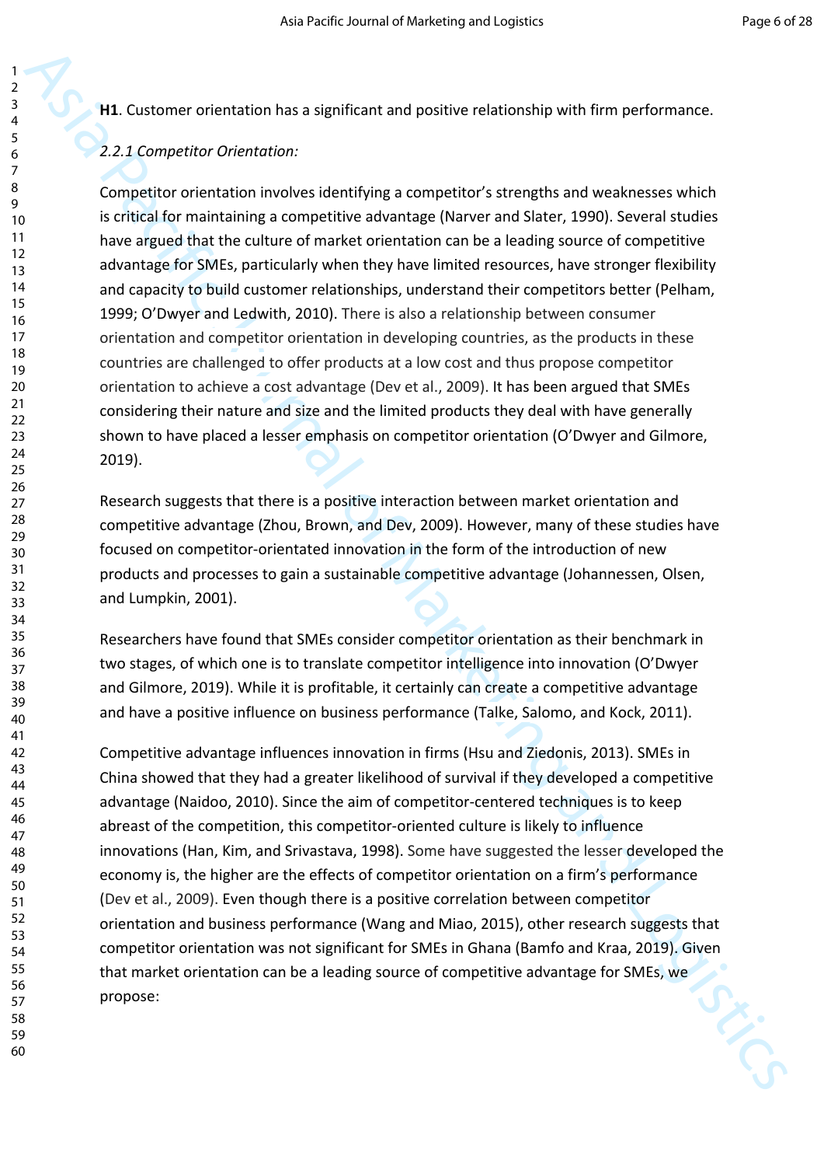**H1**. Customer orientation has a significant and positive relationship with firm performance.

#### *2.2.1 Competitor Orientation:*

**H1.** Customer orientation has a significant and positive relationship with firm performance.<br>  $22.1$  Competitive correlation involves identifying a competitive strengths and weaknesses which<br>
is critical for manitalising Competitor orientation involves identifying a competitor's strengths and weaknesses which is critical for maintaining a competitive advantage (Narver and Slater, 1990). Several studies have argued that the culture of market orientation can be a leading source of competitive advantage for SMEs, particularly when they have limited resources, have stronger flexibility and capacity to build customer relationships, understand their competitors better (Pelham, 1999; O'Dwyer and Ledwith, 2010). There is also a relationship between consumer orientation and competitor orientation in developing countries, as the products in these countries are challenged to offer products at a low cost and thus propose competitor orientation to achieve a cost advantage (Dev et al., 2009). It has been argued that SMEs considering their nature and size and the limited products they deal with have generally shown to have placed a lesser emphasis on competitor orientation (O'Dwyer and Gilmore, 2019).

Research suggests that there is a positive interaction between market orientation and competitive advantage (Zhou, Brown, and Dev, 2009). However, many of these studies have focused on competitor-orientated innovation in the form of the introduction of new products and processes to gain a sustainable competitive advantage (Johannessen, Olsen, and Lumpkin, 2001).

Researchers have found that SMEs consider competitor orientation as their benchmark in two stages, of which one is to translate competitor intelligence into innovation (O'Dwyer and Gilmore, 2019). While it is profitable, it certainly can create a competitive advantage and have a positive influence on business performance (Talke, Salomo, and Kock, 2011).

Competitive advantage influences innovation in firms (Hsu and Ziedonis, 2013). SMEs in China showed that they had a greater likelihood of survival if they developed a competitive advantage (Naidoo, 2010). Since the aim of competitor-centered techniques is to keep abreast of the competition, this competitor-oriented culture is likely to influence innovations (Han, Kim, and Srivastava, 1998). Some have suggested the lesser developed the economy is, the higher are the effects of competitor orientation on a firm's performance (Dev et al., 2009). Even though there is a positive correlation between competitor orientation and business performance (Wang and Miao, 2015), other research suggests that competitor orientation was not significant for SMEs in Ghana (Bamfo and Kraa, 2019). Given that market orientation can be a leading source of competitive advantage for SMEs, we propose: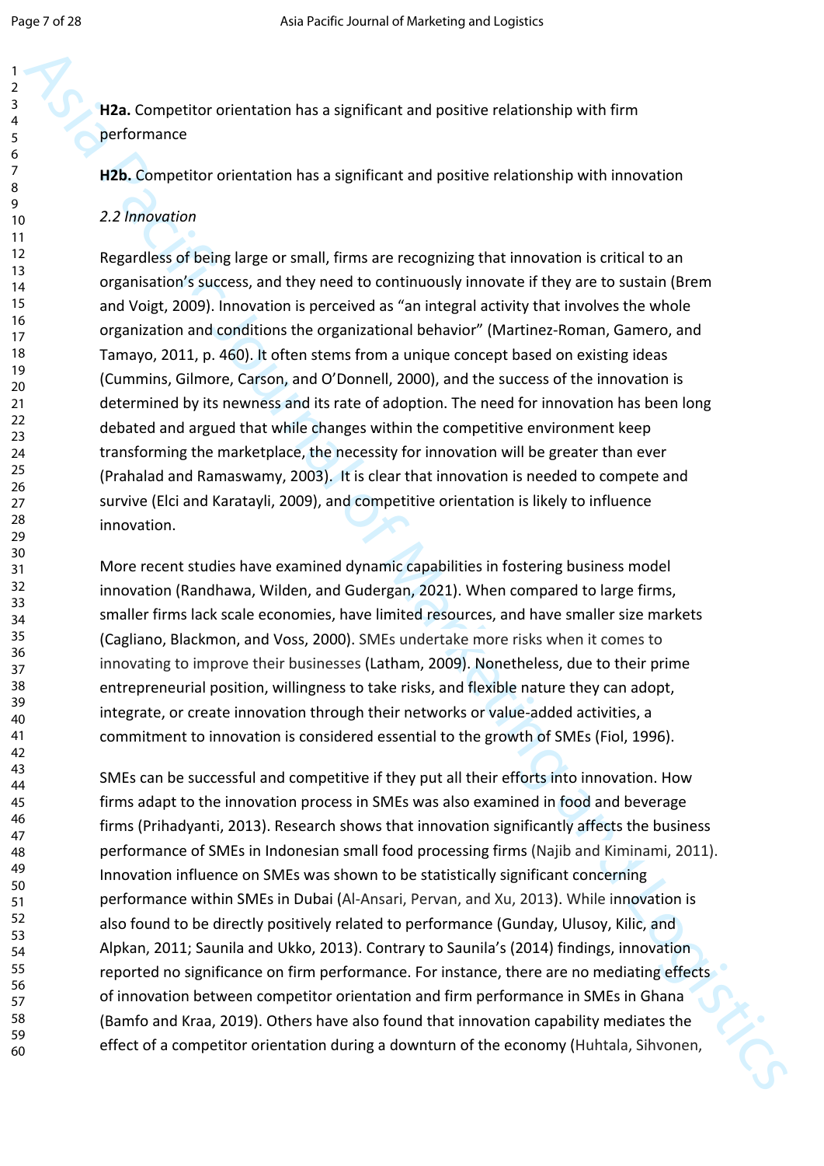**H2a.** Competitor orientation has a significant and positive relationship with firm performance

**H2b.** Competitor orientation has a significant and positive relationship with innovation

# *2.2 Innovation*

Regardless of being large or small, firms are recognizing that innovation is critical to an organisation's success, and they need to continuously innovate if they are to sustain (Brem and Voigt, 2009). Innovation is perceived as "an integral activity that involves the whole organization and conditions the organizational behavior" (Martinez-Roman, Gamero, and Tamayo, 2011, p. 460). It often stems from a unique concept based on existing ideas (Cummins, Gilmore, Carson, and O'Donnell, 2000), and the success of the innovation is determined by its newness and its rate of adoption. The need for innovation has been long debated and argued that while changes within the competitive environment keep transforming the marketplace, the necessity for innovation will be greater than ever (Prahalad and Ramaswamy, 2003). It is clear that innovation is needed to compete and survive (Elci and Karatayli, 2009), and competitive orientation is likely to influence innovation.

More recent studies have examined dynamic capabilities in fostering business model innovation (Randhawa, Wilden, and Gudergan, 2021). When compared to large firms, smaller firms lack scale economies, have limited resources, and have smaller size markets (Cagliano, Blackmon, and Voss, 2000). SMEs undertake more risks when it comes to innovating to improve their businesses (Latham, 2009). Nonetheless, due to their prime entrepreneurial position, willingness to take risks, and flexible nature they can adopt, integrate, or create innovation through their networks or value-added activities, a commitment to innovation is considered essential to the growth of SMEs (Fiol, 1996).

**H2A** Competitor orientation has a significant and sostive relationship with firm<br>performance<br>**H2A.** Competitor orientation has a significant and positive relationship with innovation<br> $2.2$  horeyclinn<br> $R_{\text{c}}$  procedures SMEs can be successful and competitive if they put all their efforts into innovation. How firms adapt to the innovation process in SMEs was also examined in food and beverage firms (Prihadyanti, 2013). Research shows that innovation significantly affects the business performance of SMEs in Indonesian small food processing firms (Najib and Kiminami, 2011). Innovation influence on SMEs was shown to be statistically significant concerning performance within SMEs in Dubai (Al-Ansari, Pervan, and Xu, 2013). While innovation is also found to be directly positively related to performance (Gunday, Ulusoy, Kilic, and Alpkan, 2011; Saunila and Ukko, 2013). Contrary to Saunila's (2014) findings, innovation reported no significance on firm performance. For instance, there are no mediating effects of innovation between competitor orientation and firm performance in SMEs in Ghana (Bamfo and Kraa, 2019). Others have also found that innovation capability mediates the effect of a competitor orientation during a downturn of the economy (Huhtala, Sihvonen,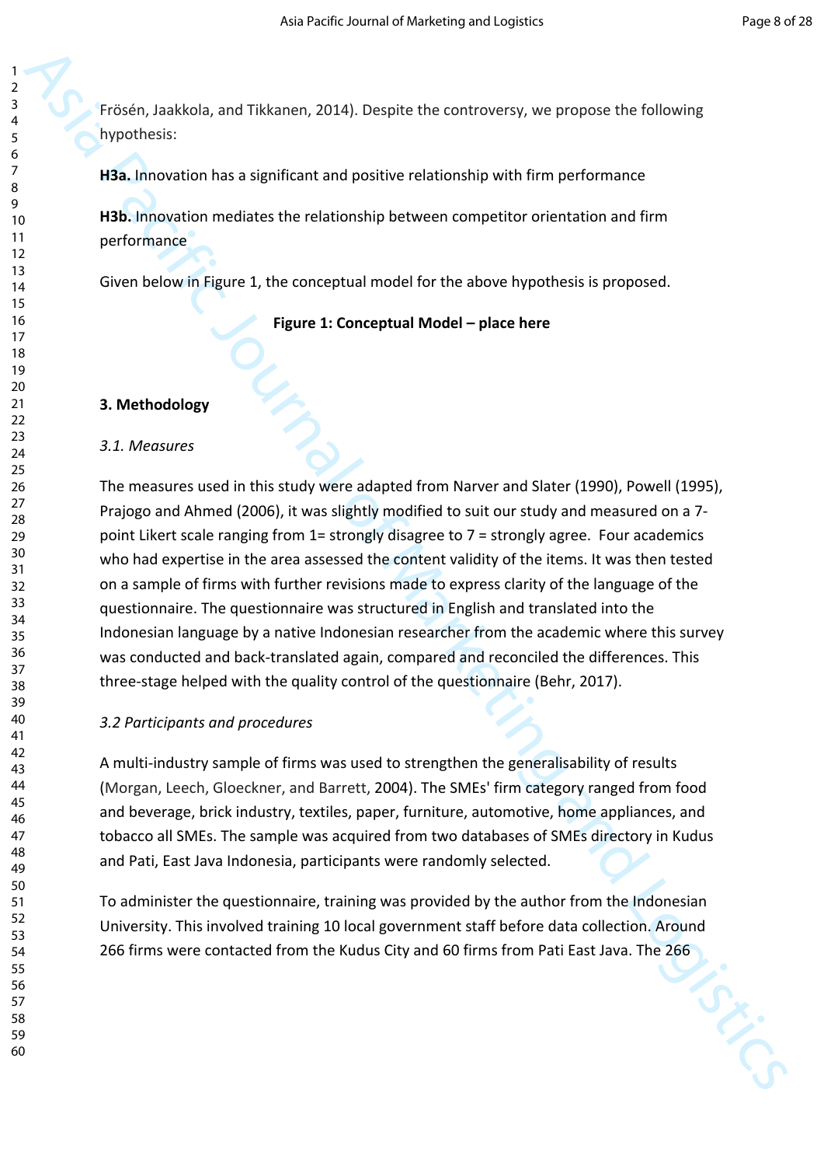Frösén, Jaakkola, and Tikkanen, 2014). Despite the controversy, we propose the following hypothesis:

**H3a.** Innovation has a significant and positive relationship with firm performance

**H3b.** Innovation mediates the relationship between competitor orientation and firm performance

Given below in Figure 1, the conceptual model for the above hypothesis is proposed.

#### **Figure 1: Conceptual Model – place here**

#### **3. Methodology**

#### *3.1. Measures*

Arrosts), Jaakkola, and Tikkanen, 2014). Despite the controversy, we propose the following<br>
Mysoltresis:<br>
NSA. Innovation mediates the relationship between competitor orientation and firm<br>
1854. Innovation mediates the rel The measures used in this study were adapted from Narver and Slater (1990), Powell (1995), Prajogo and Ahmed (2006), it was slightly modified to suit our study and measured on a 7 point Likert scale ranging from 1= strongly disagree to 7 = strongly agree. Four academics who had expertise in the area assessed the content validity of the items. It was then tested on a sample of firms with further revisions made to express clarity of the language of the questionnaire. The questionnaire was structured in English and translated into the Indonesian language by a native Indonesian researcher from the academic where this survey was conducted and back-translated again, compared and reconciled the differences. This three-stage helped with the quality control of the questionnaire (Behr, 2017).

#### *3.2 Participants and procedures*

A multi-industry sample of firms was used to strengthen the generalisability of results (Morgan, Leech, Gloeckner, and Barrett, 2004). The SMEs' firm category ranged from food and beverage, brick industry, textiles, paper, furniture, automotive, home appliances, and tobacco all SMEs. The sample was acquired from two databases of SMEs directory in Kudus and Pati, East Java Indonesia, participants were randomly selected.

To administer the questionnaire, training was provided by the author from the Indonesian University. This involved training 10 local government staff before data collection. Around 266 firms were contacted from the Kudus City and 60 firms from Pati East Java. The 266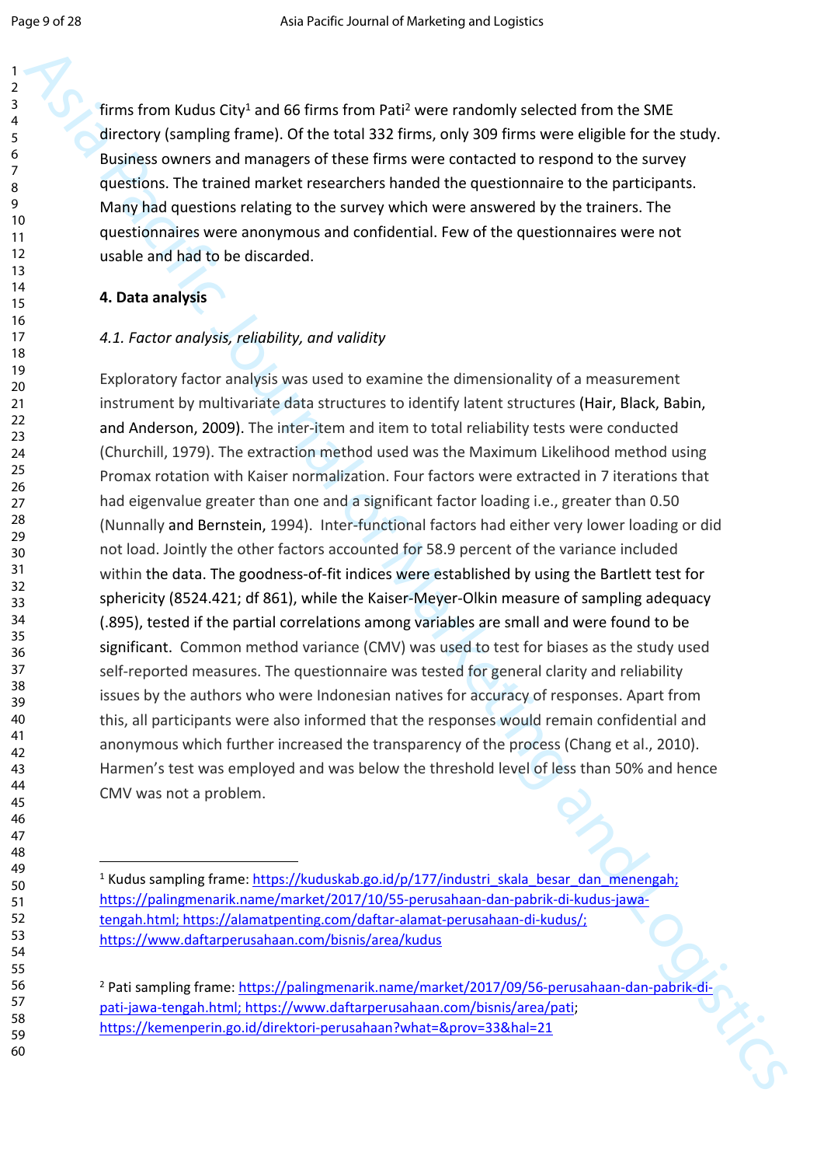firms from Kudus City<sup>1</sup> and 66 firms from Pati<sup>2</sup> were randomly selected from the SME directory (sampling frame). Of the total 332 firms, only 309 firms were eligible for the study. Business owners and managers of these firms were contacted to respond to the survey questions. The trained market researchers handed the questionnaire to the participants. Many had questions relating to the survey which were answered by the trainers. The questionnaires were anonymous and confidential. Few of the questionnaires were not usable and had to be discarded.

# **4. Data analysis**

#### *4.1. Factor analysis, reliability, and validity*

After from Nu[d](https://kuduskab.go.id/p/177/industri_skala_besar_dan_menengah)usChe- and 66 firms from Hat! were randomly selected from the SM[L](https://kuduskab.go.id/p/177/industri_skala_besar_dan_menengah) directory lamping frame). Other total 313 lines, only 300 lines were eligible for the study.<br>Business covers and margare of these firms were Exploratory factor analysis was used to examine the dimensionality of a measurement instrument by multivariate data structures to identify latent structures (Hair, Black, Babin, and Anderson, 2009). The inter-item and item to total reliability tests were conducted (Churchill, 1979). The extraction method used was the Maximum Likelihood method using Promax rotation with Kaiser normalization. Four factors were extracted in 7 iterations that had eigenvalue greater than one and a significant factor loading i.e., greater than 0.50 (Nunnally and Bernstein, 1994). Inter-functional factors had either very lower loading or did not load. Jointly the other factors accounted for 58.9 percent of the variance included within the data. The goodness-of-fit indices were established by using the Bartlett test for sphericity (8524.421; df 861), while the Kaiser-Meyer-Olkin measure of sampling adequacy (.895), tested if the partial correlations among variables are small and were found to be significant. Common method variance (CMV) was used to test for biases as the study used self-reported measures. The questionnaire was tested for general clarity and reliability issues by the authors who were Indonesian natives for accuracy of responses. Apart from this, all participants were also informed that the responses would remain confidential and anonymous which further increased the transparency of the process (Chang et al., 2010). Harmen's test was employed and was below the threshold level of less than 50% and hence CMV was not a problem.

<sup>&</sup>lt;sup>1</sup> Kudus sampling frame: https://kuduskab.go.id/p/177/industri\_skala\_besar\_dan\_menengah; https://palingmenarik.name/market/2017/10/55-perusahaan-dan-pabrik-di-kudus-jawatengah.html; https://alamatpenting.com/daftar-alamat-perusahaan-di-kudus/; https://www.daftarperusahaan.com/bisnis/area/kudus

<sup>&</sup>lt;sup>2</sup> Pati sampling frame: https://palingmenarik.name/market/2017/09/56-perusahaan-dan-pabrik-dipati-jawa-tengah.html; https://www.daftarperusahaan.com/bisnis/area/pati; https://kemenperin.go.id/direktori-perusahaan?what=&prov=33&hal=21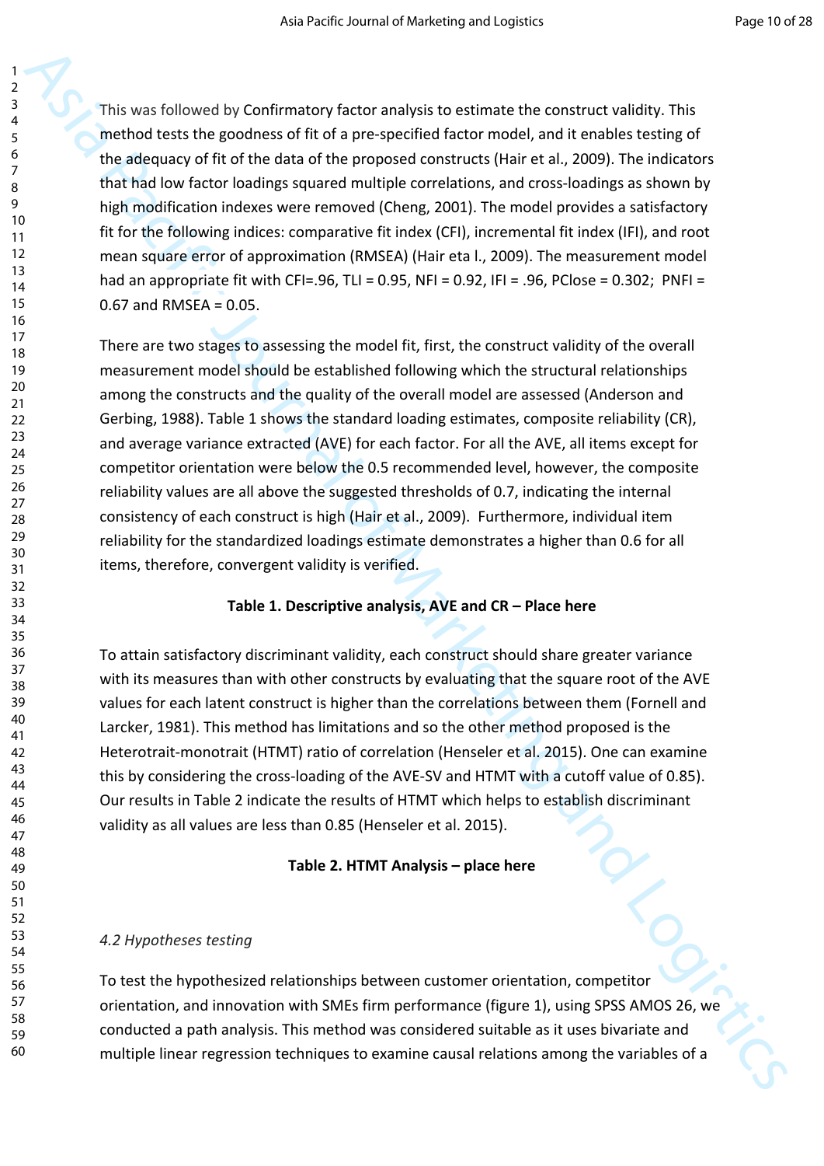This was followed by Confirmatory factor analysis to estimate the construct validity. This method tests the goodness of fit of a pre-specified factor model, and it enables testing of the adequacy of fit of the data of the proposed constructs (Hair et al., 2009). The indicators that had low factor loadings squared multiple correlations, and cross-loadings as shown by high modification indexes were removed (Cheng, 2001). The model provides a satisfactory fit for the following indices: comparative fit index (CFI), incremental fit index (IFI), and root mean square error of approximation (RMSEA) (Hair eta l., 2009). The measurement model had an appropriate fit with CFI=.96, TLI =  $0.95$ , NFI =  $0.92$ , IFI =  $.96$ , PClose =  $0.302$ ; PNFI = 0.67 and RMSEA = 0.05.

This was followed by Confirmatory factor essignis to estimate the construct visiting of<br>the statistical of Harachi and the statistical statistics of the statistical of Marketing and<br>the statistical of Harachi and OHI entr There are two stages to assessing the model fit, first, the construct validity of the overall measurement model should be established following which the structural relationships among the constructs and the quality of the overall model are assessed (Anderson and Gerbing, 1988). Table 1 shows the standard loading estimates, composite reliability (CR), and average variance extracted (AVE) for each factor. For all the AVE, all items except for competitor orientation were below the 0.5 recommended level, however, the composite reliability values are all above the suggested thresholds of 0.7, indicating the internal consistency of each construct is high (Hair et al., 2009). Furthermore, individual item reliability for the standardized loadings estimate demonstrates a higher than 0.6 for all items, therefore, convergent validity is verified.

#### **Table 1. Descriptive analysis, AVE and CR – Place here**

To attain satisfactory discriminant validity, each construct should share greater variance with its measures than with other constructs by evaluating that the square root of the AVE values for each latent construct is higher than the correlations between them (Fornell and Larcker, 1981). This method has limitations and so the other method proposed is the Heterotrait-monotrait (HTMT) ratio of correlation (Henseler et al. 2015). One can examine this by considering the cross-loading of the AVE-SV and HTMT with a cutoff value of 0.85). Our results in Table 2 indicate the results of HTMT which helps to establish discriminant validity as all values are less than 0.85 (Henseler et al. 2015).

#### **Table 2. HTMT Analysis – place here**

#### *4.2 Hypotheses testing*

To test the hypothesized relationships between customer orientation, competitor orientation, and innovation with SMEs firm performance (figure 1), using SPSS AMOS 26, we conducted a path analysis. This method was considered suitable as it uses bivariate and multiple linear regression techniques to examine causal relations among the variables of a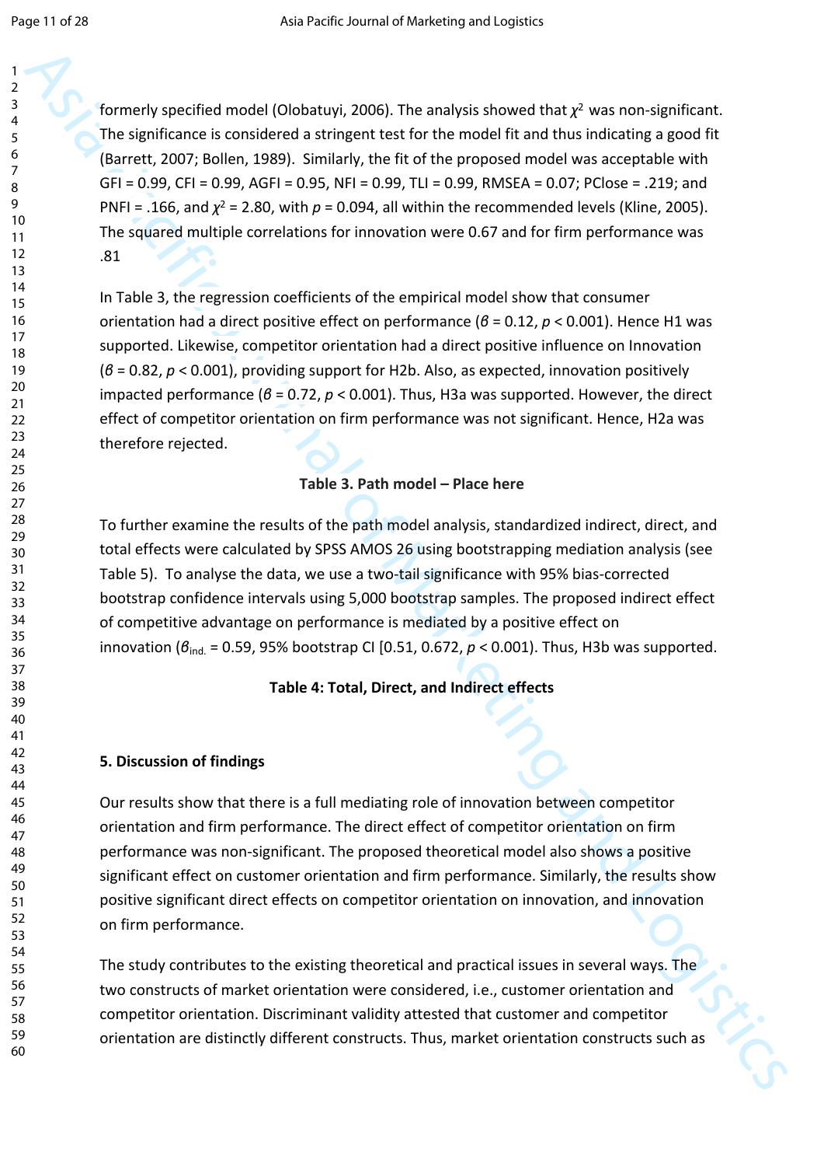Somethy spectred model (Oldustuy), 2006). The [a](https://www.emerald.com/insight/content/doi/10.1108/MIP-04-2020-0170/full/html#ref006)nalysis showed that p<sup>4</sup> was non-significant.<br>The cignificant is convidered a stellage to leaf for the model fit and thus indicating a goud fit (since 1,2007, politics, 1380, formerly specified model (Olobatuyi, 2006). The analysis showed that  $\chi^2$  was non-significant. The significance is considered a stringent test for the model fit and thus indicating a good fit (Barrett, 2007; Bollen, 1989). Similarly, the fit of the proposed model was acceptable with GFI = 0.99, CFI = 0.99, AGFI = 0.95, NFI = 0.99, TLI = 0.99, RMSEA = 0.07; PClose = .219; and PNFI = .166, and  $\chi^2$  = 2.80, with  $p$  = 0.094, all within the recommended levels (Kline, 2005). The squared multiple correlations for innovation were 0.67 and for firm performance was .81

In Table 3, the regression coefficients of the empirical model show that consumer orientation had a direct positive effect on performance (*β* = 0.12, *p* < 0.001). Hence H1 was supported. Likewise, competitor orientation had a direct positive influence on Innovation (*β* = 0.82, *p* < 0.001), providing support for H2b. Also, as expected, innovation positively impacted performance (*β* = 0.72, *p* < 0.001). Thus, H3a was supported. However, the direct effect of competitor orientation on firm performance was not significant. Hence, H2a was therefore rejected.

#### **Table 3. Path model – Place here**

To further examine the results of the path model analysis, standardized indirect, direct, and total effects were calculated by SPSS AMOS 26 using bootstrapping mediation analysis (see Table 5). To analyse the data, we use a two-tail significance with 95% bias-corrected bootstrap confidence intervals using 5,000 bootstrap samples. The proposed indirect effect of competitive advantage on performance is mediated by a positive effect on innovation ( $\theta_{\text{ind}}$  = 0.59, 95% bootstrap CI [0.51, 0.672,  $p < 0.001$ ). Thus, H3b was supported.

#### **Table 4: Total, Direct, and Indirect effects**

#### **5. Discussion of findings**

Our results show that there is a full mediating role of innovation between competitor orientation and firm performance. The direct effect of competitor orientation on firm performance was non-significant. The proposed theoretical model also shows a positive significant effect on customer orientation and firm performance. Similarly, the results show positive significant direct effects on competitor orientation on innovation, and innovation on firm performance.

The study contributes to the existing theoretical and practical issues in several ways. The two constructs of market orientation were considered, i.e., customer orientation and competitor orientation. Discriminant validity attested that customer and competitor orientation are distinctly different constructs. Thus, market orientation constructs such as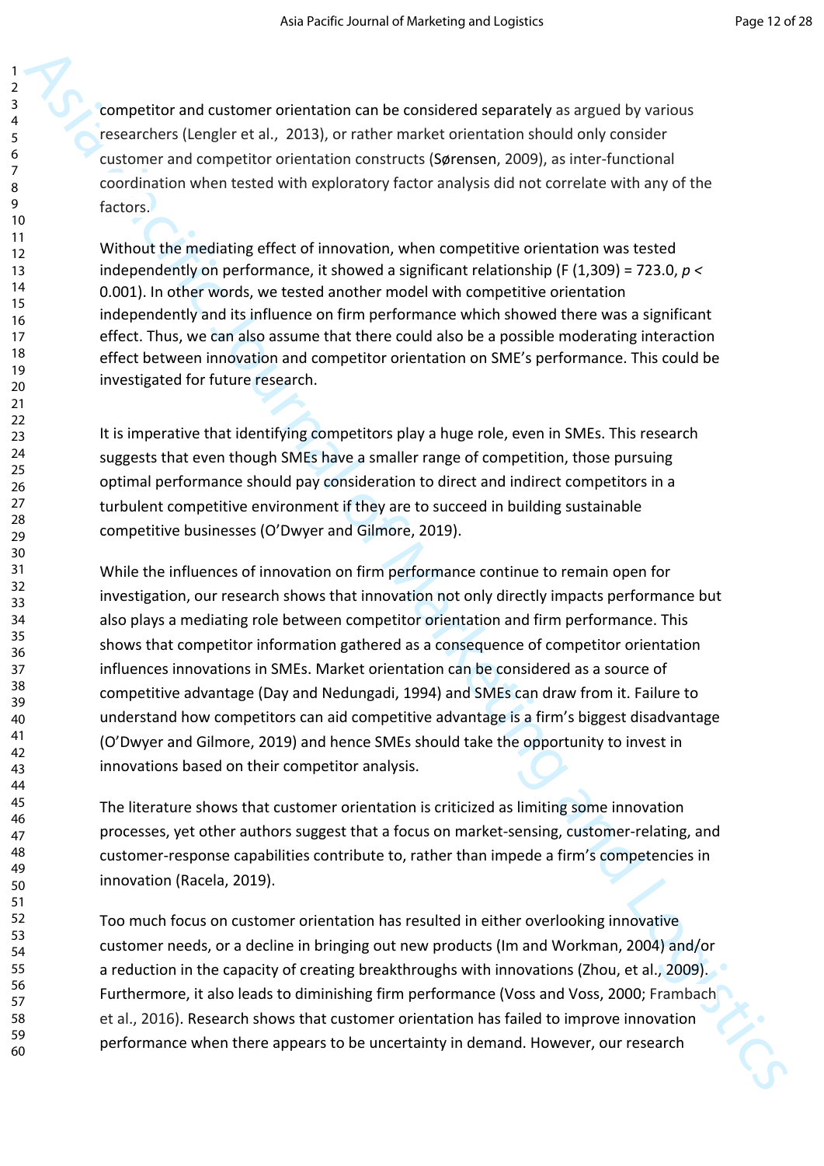competitor and customer orientation can be considered separately as argued by various researchers (Lengler et al., 2013), or rather market orientation should only consider customer and competitor orientation constructs (Sørensen, 2009), as inter-functional coordination when tested with exploratory factor analysis did not correlate with any of the factors.

Without the mediating effect of innovation, when competitive orientation was tested independently on performance, it showed a significant relationship (F (1,309) = 723.0, *p <*  0.001). In other words, we tested another model with competitive orientation independently and its influence on firm performance which showed there was a significant effect. Thus, we can also assume that there could also be a possible moderating interaction effect between innovation and competitor orientation on SME's performance. This could be investigated for future research.

It is imperative that identifying competitors play a huge role, even in SMEs. This research suggests that even though SMEs have a smaller range of competition, those pursuing optimal performance should pay consideration to direct and indirect competitors in a turbulent competitive environment if they are to succeed in building sustainable competitive businesses (O'Dwyer and Gilmore, 2019).

competitor and outlomer onentation can be considered separately as angued syvarious researchers (longiter at a, 2013), or eather consider and signature and consideration of the factors.<br>
constraints and computibility in t While the influences of innovation on firm performance continue to remain open for investigation, our research shows that innovation not only directly impacts performance but also plays a mediating role between competitor orientation and firm performance. This shows that competitor information gathered as a consequence of competitor orientation influences innovations in SMEs. Market orientation can be considered as a source of competitive advantage (Day and Nedungadi, 1994) and SMEs can draw from it. Failure to understand how competitors can aid competitive advantage is a firm's biggest disadvantage (O'Dwyer and Gilmore, 2019) and hence SMEs should take the opportunity to invest in innovations based on their competitor analysis.

The literature shows that customer orientation is criticized as limiting some innovation processes, yet other authors suggest that a focus on market-sensing, customer-relating, and customer-response capabilities contribute to, rather than impede a firm's competencies in innovation (Racela, 2019).

Too much focus on customer orientation has resulted in either overlooking innovative customer needs, or a decline in bringing out new products (Im and Workman, 2004) and/or a reduction in the capacity of creating breakthroughs with innovations (Zhou, et al., 2009). Furthermore, it also leads to diminishing firm performance (Voss and Voss, 2000; Frambach et al., 2016). Research shows that customer orientation has failed to improve innovation performance when there appears to be uncertainty in demand. However, our research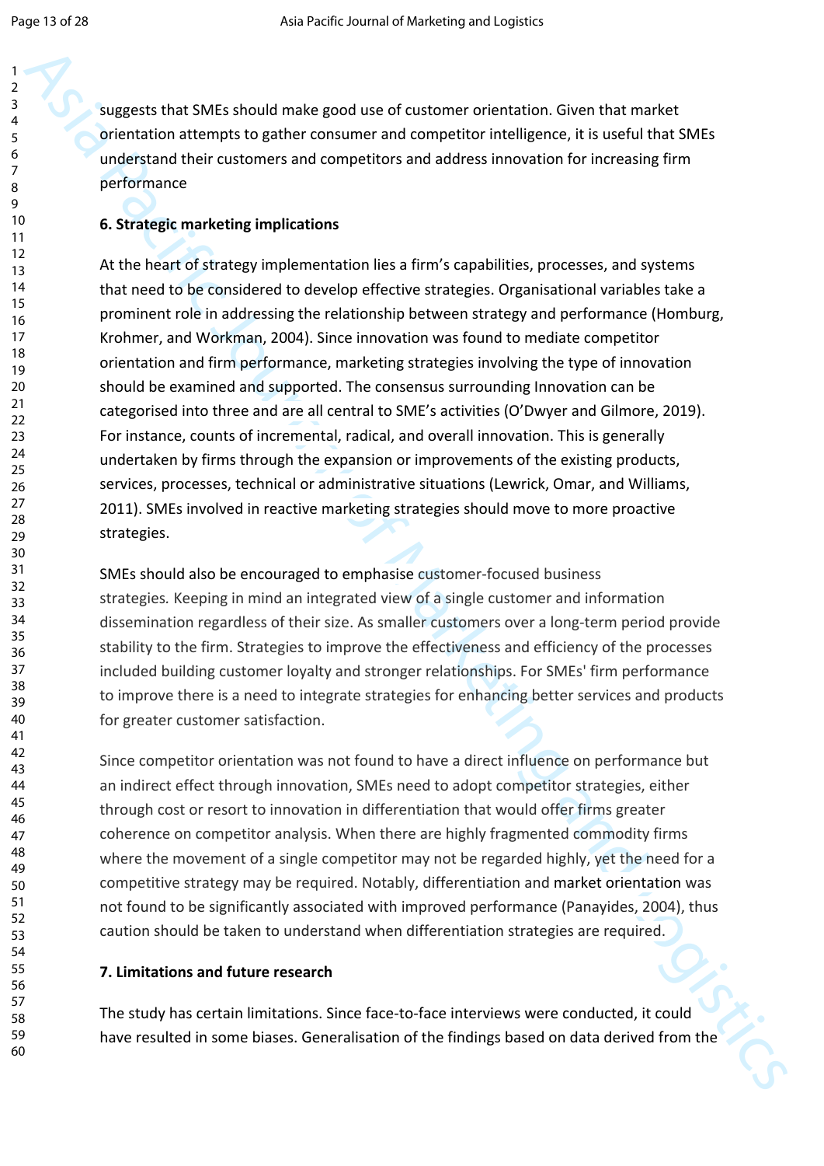suggests that SMEs should make good use of customer orientation. Given that market orientation attempts to gather consumer and competitor intelligence, it is useful that SMEs understand their customers and competitors and address innovation for increasing firm performance

#### **6. Strategic marketing implications**

Supposes that Soke a mould make good use of customer orientation. Gives that market.<br>
Cyferinal on allerroris in guiter consumers and competitors and address inmovailon for increasing item<br>
particular their consumers and c At the heart of strategy implementation lies a firm's capabilities, processes, and systems that need to be considered to develop effective strategies. Organisational variables take a prominent role in addressing the relationship between strategy and performance (Homburg, Krohmer, and Workman, 2004). Since innovation was found to mediate competitor orientation and firm performance, marketing strategies involving the type of innovation should be examined and supported. The consensus surrounding Innovation can be categorised into three and are all central to SME's activities (O'Dwyer and Gilmore, 2019). For instance, counts of incremental, radical, and overall innovation. This is generally undertaken by firms through the expansion or improvements of the existing products, services, processes, technical or administrative situations (Lewrick, Omar, and Williams, 2011). SMEs involved in reactive marketing strategies should move to more proactive strategies.

SMEs should also be encouraged to emphasise customer-focused business strategies*.* Keeping in mind an integrated view of a single customer and information dissemination regardless of their size. As smaller customers over a long-term period provide stability to the firm. Strategies to improve the effectiveness and efficiency of the processes included building customer loyalty and stronger relationships. For SMEs' firm performance to improve there is a need to integrate strategies for enhancing better services and products for greater customer satisfaction.

Since competitor orientation was not found to have a direct influence on performance but an indirect effect through innovation, SMEs need to adopt competitor strategies, either through cost or resort to innovation in differentiation that would offer firms greater coherence on competitor analysis. When there are highly fragmented commodity firms where the movement of a single competitor may not be regarded highly, yet the need for a competitive strategy may be required. Notably, differentiation and market orientation was not found to be significantly associated with improved performance (Panayides, 2004), thus caution should be taken to understand when differentiation strategies are required.

#### **7. Limitations and future research**

The study has certain limitations. Since face-to-face interviews were conducted, it could have resulted in some biases. Generalisation of the findings based on data derived from the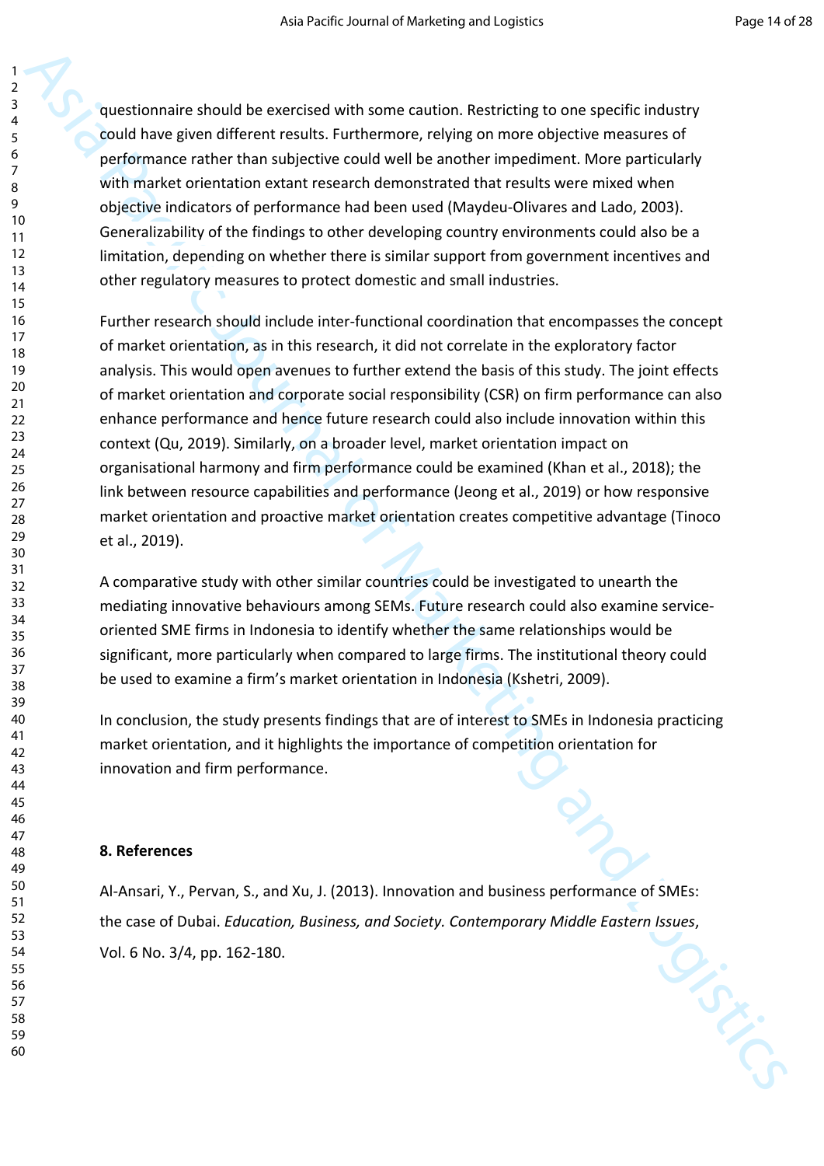questionnaire should be exercised with some caution. Restricting to one specific industry could have given different results. Furthermore, relying on more objective measures of performance rather than subjective could well be another impediment. More particularly with market orientation extant research demonstrated that results were mixed when objective indicators of performance had been used (Maydeu-Olivares and Lado, 2003). Generalizability of the findings to other developing country environments could also be a limitation, depending on whether there is similar support from government incentives and other regulatory measures to protect domestic and small industries.

questionnine should be exercised with tem cruston, sestictive to one specific individual of  $\alpha$  pacific measures of particular pacific measures of particular pacific measures of particular measures of particular pacific Further research should include inter-functional coordination that encompasses the concept of market orientation, as in this research, it did not correlate in the exploratory factor analysis. This would open avenues to further extend the basis of this study. The joint effects of market orientation and corporate social responsibility (CSR) on firm performance can also enhance performance and hence future research could also include innovation within this context (Qu, 2019). Similarly, on a broader level, market orientation impact on organisational harmony and firm performance could be examined (Khan et al., 2018); the link between resource capabilities and performance (Jeong et al., 2019) or how responsive market orientation and proactive market orientation creates competitive advantage (Tinoco et al., 2019).

A comparative study with other similar countries could be investigated to unearth the mediating innovative behaviours among SEMs. Future research could also examine serviceoriented SME firms in Indonesia to identify whether the same relationships would be significant, more particularly when compared to large firms. The institutional theory could be used to examine a firm's market orientation in Indonesia (Kshetri, 2009).

In conclusion, the study presents findings that are of interest to SMEs in Indonesia practicing market orientation, and it highlights the importance of competition orientation for innovation and firm performance.

#### **8. References**

Al-Ansari, Y., Pervan, S., and Xu, J. (2013). Innovation and business performance of SMEs: the case of Dubai. *Education, Business, and Society. Contemporary Middle Eastern Issues,*<br>Vol. 6 No. 3/4, pp. 162-180. Vol. 6 No. 3/4, pp. 162-180.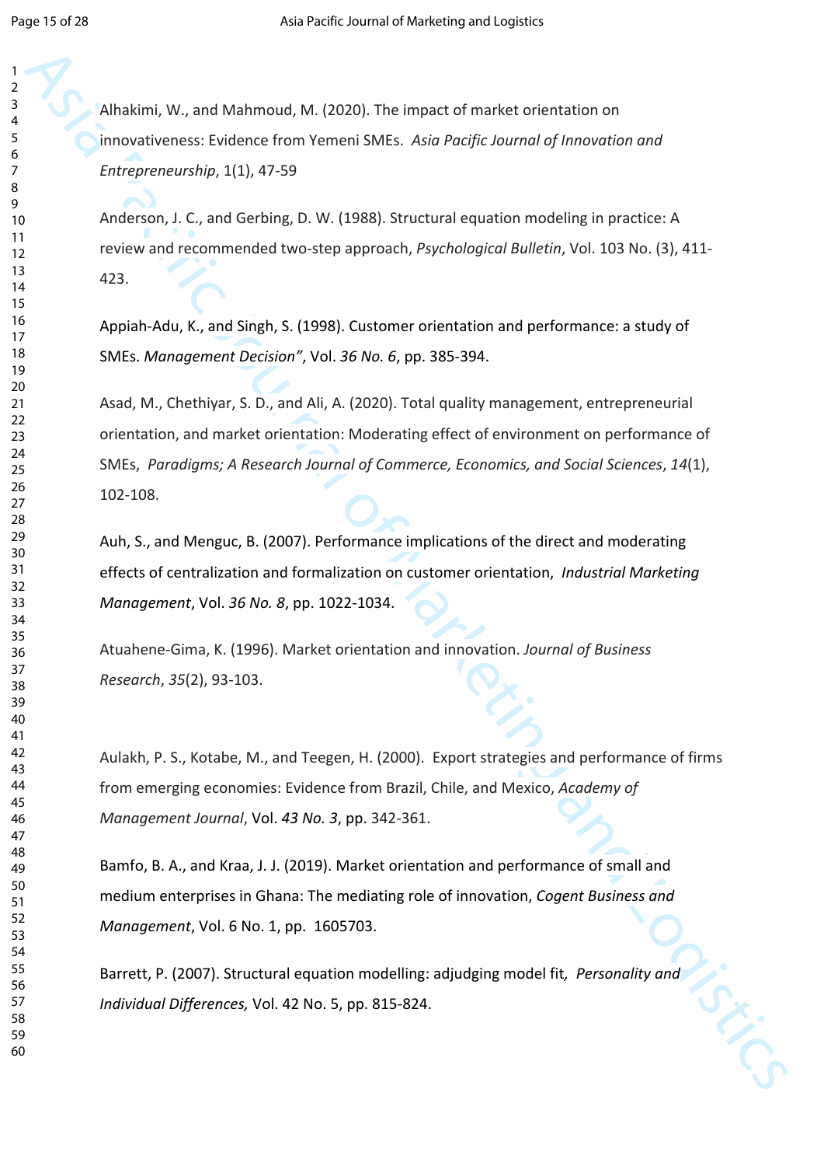Alhakimi, W., and Mahmoud, M. (2020). The impact of market orientation on innovativeness: Evidence from Yemeni SMEs. *Asia Pacific Journal of Innovation and Entrepreneurship*, 1(1), 47-59

Anderson, J. C., and Gerbing, D. W. (1988). Structural equation modeling in practice: A review and recommended two-step approach, *Psychological Bulletin*, Vol. 103 No. (3), 411- 423.

Appiah-Adu, K., and Singh, S. (1998). Customer orientation and performance: a study of SMEs. *Management Decision"*, Vol. *36 No. 6*, pp. 385-394.

Allhelient, W., and Mahmoud, M. (2020). The impact of market orientation on<br>
Interactioness: Evolution for Weinest SMEs. Asia Pacific Dournal of Interaction and<br>
Forcepresentation, 1(1), 47-73<br>
Anderson, J. C., and Gerbin Asad, M., Chethiyar, S. D., and Ali, A. (2020). Total quality management, entrepreneurial orientation, and market orientation: Moderating effect of environment on performance of SMEs, *Paradigms; A Research Journal of Commerce, Economics, and Social Sciences*, *14*(1), 102-108.

Auh, S., and Menguc, B. (2007). Performance implications of the direct and moderating effects of centralization and formalization on customer orientation, *Industrial Marketing Management*, Vol. *36 No. 8*, pp. 1022-1034.

Atuahene-Gima, K. (1996). Market orientation and innovation. *Journal of Business Research*, *35*(2), 93-103.

Aulakh, P. S., Kotabe, M., and Teegen, H. (2000). Export strategies and performance of firms from emerging economies: Evidence from Brazil, Chile, and Mexico, *Academy of Management Journal*, Vol. *43 No. 3*, pp. 342-361.

Bamfo, B. A., and Kraa, J. J. (2019). Market orientation and performance of small and medium enterprises in Ghana: The mediating role of innovation, *Cogent Business and Management*, Vol. 6 No. 1, pp. 1605703.

Barrett, P. (2007). Structural equation modelling: adjudging model fit*, Personality and Individual Differences,* Vol. 42 No. 5, pp. 815-824.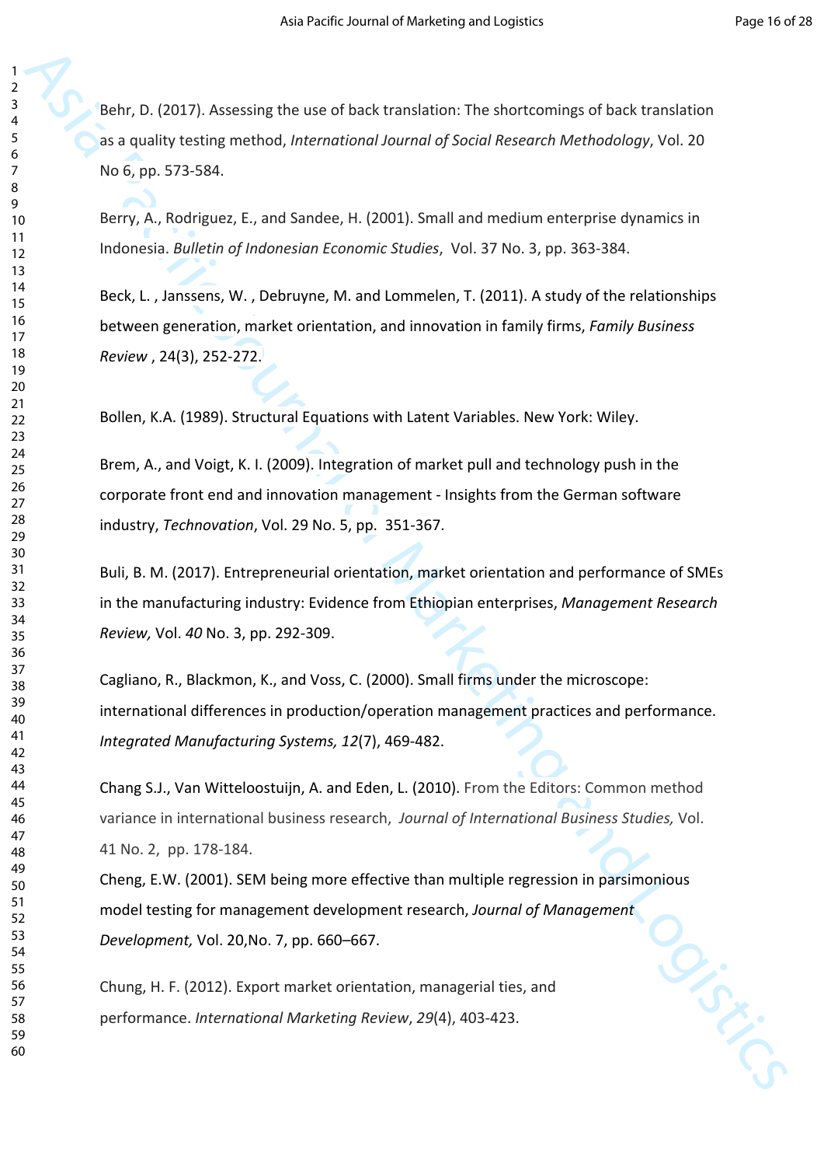Selary D. (2012). Assessing the use of task tenstiation: The shortcomings of back translation<br>
as a quality testing method, *International Journal of Sociol Research Methodology*, Vol. 20<br>
No 6, pp. 773-584.<br>
Derry, A., R Behr, D. (2017). Assessing the use of back translation: The shortcomings of back translation as a quality testing method, *International Journal of Social Research Methodology*, Vol. 20 No 6, pp. 573-584.

Berry, A., Rodriguez, E., and Sandee, H. (2001). Small and medium enterprise dynamics in Indonesia. *Bulletin of Indonesian Economic Studies*, Vol. 37 No. 3, pp. 363-384.

Beck, L. , Janssens, W. , Debruyne, M. and Lommelen, T. (2011). A study of the relationships between generation, market orientation, and innovation in family firms, *Family Business Review* , 24(3), 252-272.

Bollen, K.A. (1989). Structural Equations with Latent Variables. New York: Wiley.

Brem, A., and Voigt, K. I. (2009). Integration of market pull and technology push in the corporate front end and innovation management - Insights from the German software industry, *Technovation*, Vol. 29 No. 5, pp. 351-367.

Buli, B. M. (2017). Entrepreneurial orientation, market orientation and performance of SMEs in the manufacturing industry: Evidence from Ethiopian enterprises, *Management Research Review,* Vol. *40* No. 3, pp. 292-309.

Cagliano, R., Blackmon, K., and Voss, C. (2000). Small firms under the microscope: international differences in production/operation management practices and performance. *Integrated Manufacturing Systems, 12*(7), 469-482.

Chang S.J., Van Witteloostuijn, A. and Eden, L. (2010). From the Editors: Common method variance in international business research, *Journal of International Business Studies,* Vol. 41 No. 2, pp. 178-184.

Cheng, E.W. (2001). SEM being more effective than multiple regression in parsimonious model testing for management development research, *Journal of Management Development,* Vol. 20,No. 7, pp. 660–667.

Chung, H. F. (2012). Export market orientation, managerial ties, and performance. *International Marketing Review*, *29*(4), 403-423.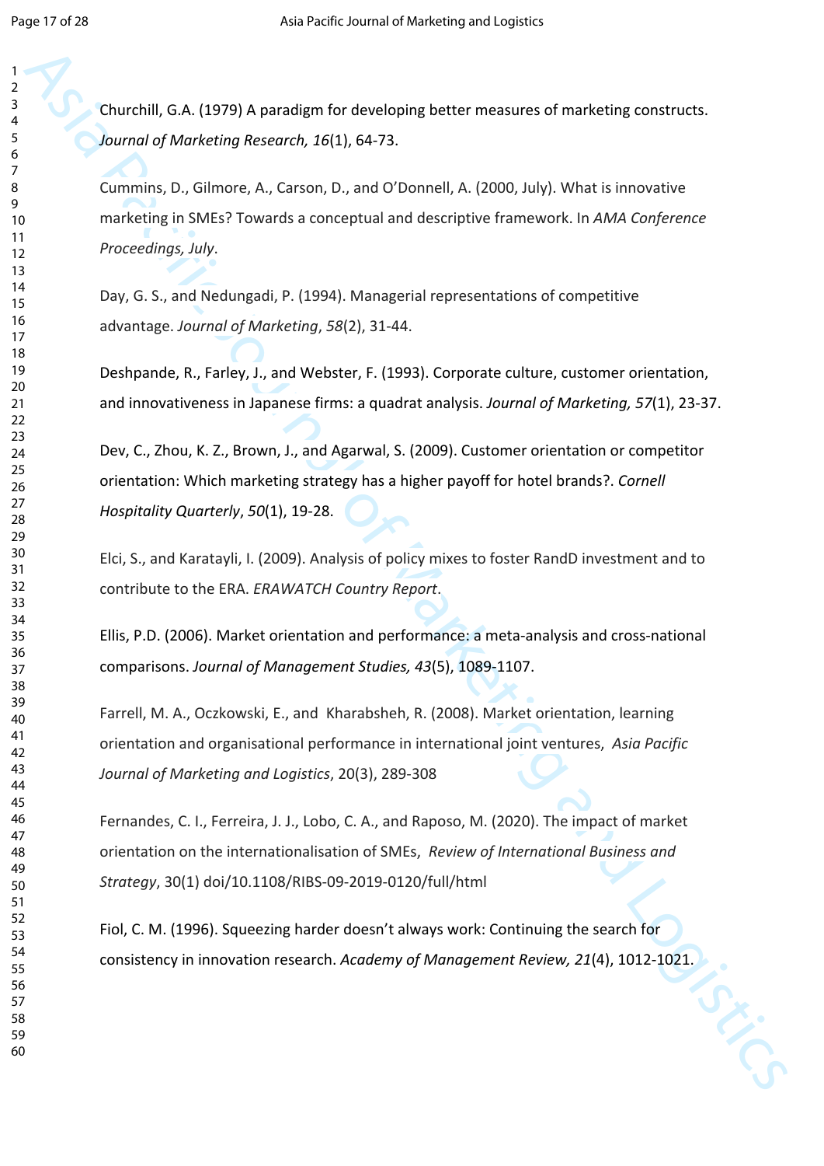Churchill, G.A. (1979) A paradigm for developing better measures of marketing constructs. *Journal of Marketing Research, 16*(1), 64-73.

Courciall,  $(S.A. (1979)A$ , paradgen for developing better measures of marketing constructs.<br>
Commiss, D., Gilmone, A., Caroon, D., and O'Domell, A. (2000, July). What is innovative<br>
marketing, In Strister Towards a conceptu Cummins, D., Gilmore, A., Carson, D., and O'Donnell, A. (2000, July). What is innovative marketing in SMEs? Towards a conceptual and descriptive framework. In *AMA Conference Proceedings, July*.

Day, G. S., and Nedungadi, P. (1994). Managerial representations of competitive advantage. *Journal of Marketing*, *58*(2), 31-44.

Deshpande, R., Farley, J., and Webster, F. (1993). Corporate culture, customer orientation, and innovativeness in Japanese firms: a quadrat analysis. *Journal of Marketing, 57*(1), 23-37.

Dev, C., Zhou, K. Z., Brown, J., and Agarwal, S. (2009). Customer orientation or competitor orientation: Which marketing strategy has a higher payoff for hotel brands?. *Cornell Hospitality Quarterly*, *50*(1), 19-28.

Elci, S., and Karatayli, I. (2009). Analysis of policy mixes to foster RandD investment and to contribute to the ERA. *ERAWATCH Country Report*.

Ellis, P.D. (2006). Market orientation and performance: a meta-analysis and cross-national comparisons. *Journal of Management Studies, 43*(5), 1089-1107.

Farrell, M. A., Oczkowski, E., and Kharabsheh, R. (2008). Market orientation, learning orientation and organisational performance in international joint ventures, *Asia Pacific Journal of Marketing and Logistics*, 20(3), 289-308

Fernandes, C. I., Ferreira, J. J., Lobo, C. A., and Raposo, M. (2020). The impact of market orientation on the internationalisation of SMEs, *Review of International Business and Strategy*, 30(1) doi/10.1108/RIBS-09-2019-0120/full/html

Fiol, C. M. (1996). Squeezing harder doesn't always work: Continuing the search for consistency in innovation research. *Academy of Management Review, 21*(4), 1012-1021.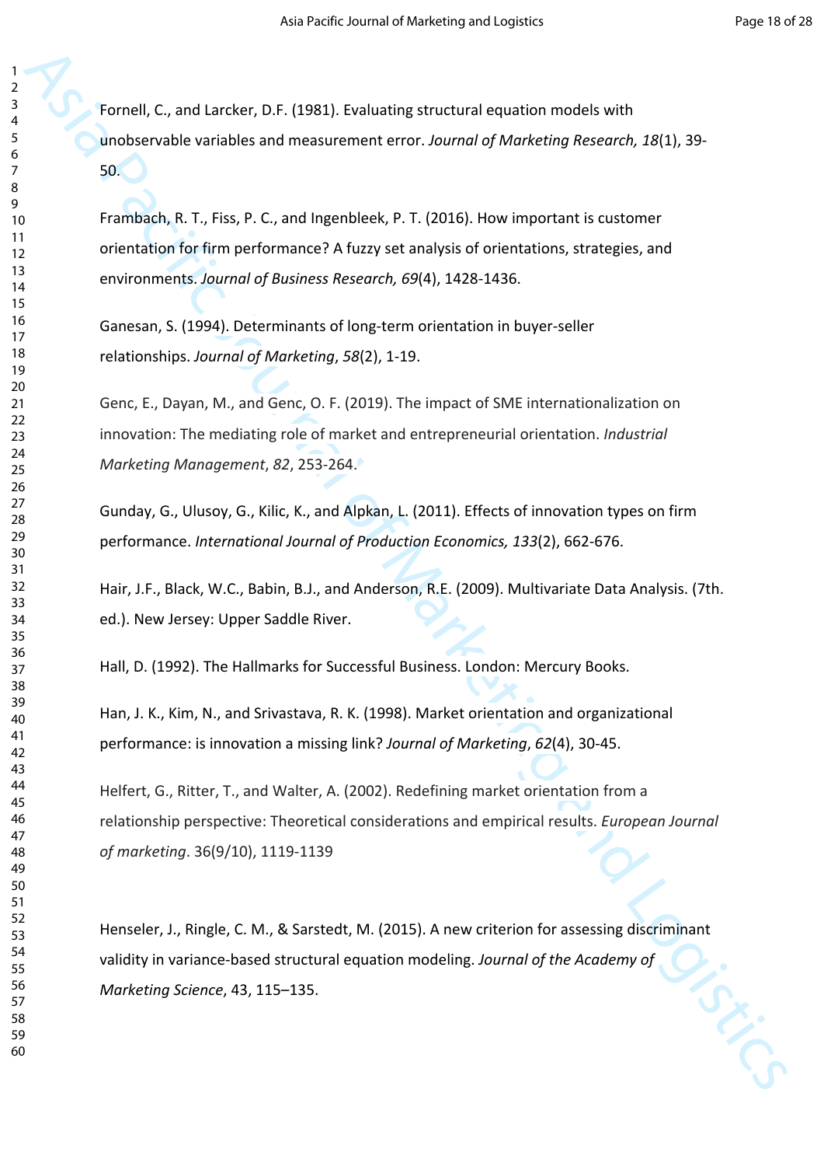Fornell, C., and stardaer, D.F. (1981). Invaluating structural equation models with<br>
innoises wable variables and measurement error. Journal of Marketing Research, 18(1), 39-<br>
30.<br>
Translach, R. T., Fiss, P. C., and Ingen Fornell, C., and Larcker, D.F. (1981). Evaluating structural equation models with unobservable variables and measurement error. *Journal of Marketing Research, 18*(1), 39- 50.

Frambach, R. T., Fiss, P. C., and Ingenbleek, P. T. (2016). How important is customer orientation for firm performance? A fuzzy set analysis of orientations, strategies, and environments. *Journal of Business Research, 69*(4), 1428-1436.

Ganesan, S. (1994). Determinants of long-term orientation in buyer-seller relationships. *Journal of Marketing*, *58*(2), 1-19.

Genc, E., Dayan, M., and Genc, O. F. (2019). The impact of SME internationalization on innovation: The mediating role of market and entrepreneurial orientation. *Industrial Marketing Management*, *82*, 253-264.

Gunday, G., Ulusoy, G., Kilic, K., and Alpkan, L. (2011). Effects of innovation types on firm performance. *International Journal of Production Economics, 133*(2), 662-676.

Hair, J.F., Black, W.C., Babin, B.J., and Anderson, R.E. (2009). Multivariate Data Analysis. (7th. ed.). New Jersey: Upper Saddle River.

Hall, D. (1992). The Hallmarks for Successful Business. London: Mercury Books.

Han, J. K., Kim, N., and Srivastava, R. K. (1998). Market orientation and organizational performance: is innovation a missing link? *Journal of Marketing*, *62*(4), 30-45.

Helfert, G., Ritter, T., and Walter, A. (2002). Redefining market orientation from a relationship perspective: Theoretical considerations and empirical results. *European Journal of marketing*. 36(9/10), 1119-1139

Henseler, J., Ringle, C. M., & Sarstedt, M. (2015). A new criterion for assessing discriminant validity in variance-based structural equation modeling. *Journal of the Academy of Marketing Science*, 43, 115–135.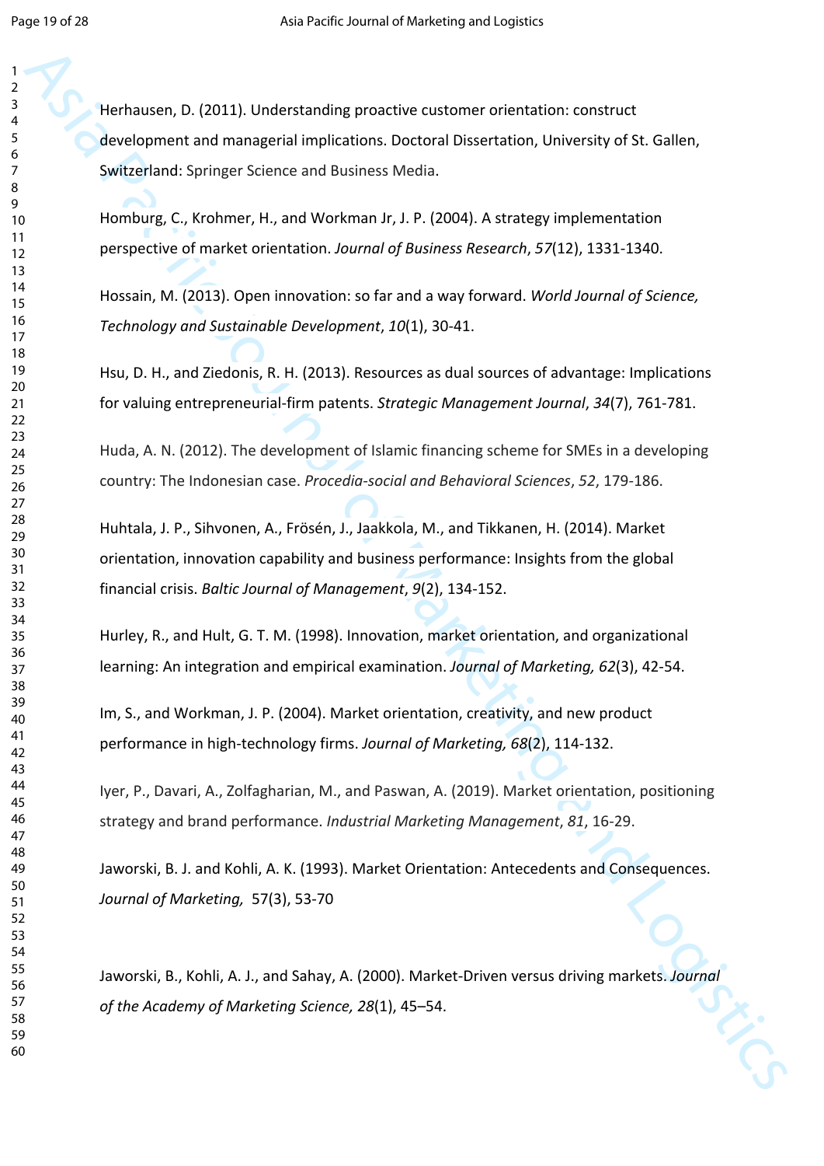Merhausen, D. (2011). Understanding protective customer orderitation construct<br>
development and managerial implications. Used Weslit, Switcher Secretize Journal of Marketing C. Krohmer, H., and Weslitens, McGilla.<br>
Hombur Herhausen, D. (2011). Understanding proactive customer orientation: construct development and managerial implications. Doctoral Dissertation, University of St. Gallen, Switzerland: Springer Science and Business Media.

Homburg, C., Krohmer, H., and Workman Jr, J. P. (2004). A strategy implementation perspective of market orientation. *Journal of Business Research*, *57*(12), 1331-1340.

Hossain, M. (2013). Open innovation: so far and a way forward. *World Journal of Science, Technology and Sustainable Development*, *10*(1), 30-41.

Hsu, D. H., and Ziedonis, R. H. (2013). Resources as dual sources of advantage: Implications for valuing entrepreneurial-firm patents. *Strategic Management Journal*, *34*(7), 761-781.

Huda, A. N. (2012). The development of Islamic financing scheme for SMEs in a developing country: The Indonesian case. *Procedia-social and Behavioral Sciences*, *52*, 179-186.

Huhtala, J. P., Sihvonen, A., Frösén, J., Jaakkola, M., and Tikkanen, H. (2014). Market orientation, innovation capability and business performance: Insights from the global financial crisis. *Baltic Journal of Management*, *9*(2), 134-152.

Hurley, R., and Hult, G. T. M. (1998). Innovation, market orientation, and organizational learning: An integration and empirical examination. *Journal of Marketing, 62*(3), 42-54.

Im, S., and Workman, J. P. (2004). Market orientation, creativity, and new product performance in high-technology firms. *Journal of Marketing, 68*(2), 114-132.

Iyer, P., Davari, A., Zolfagharian, M., and Paswan, A. (2019). Market orientation, positioning strategy and brand performance. *Industrial Marketing Management*, *81*, 16-29.

Jaworski, B. J. and Kohli, A. K. (1993). Market Orientation: Antecedents and Consequences. *Journal of Marketing,* 57(3), 53-70

Jaworski, B., Kohli, A. J., and Sahay, A. (2000). Market-Driven versus driving markets. *Journal of the Academy of Marketing Science, 28*(1), 45–54.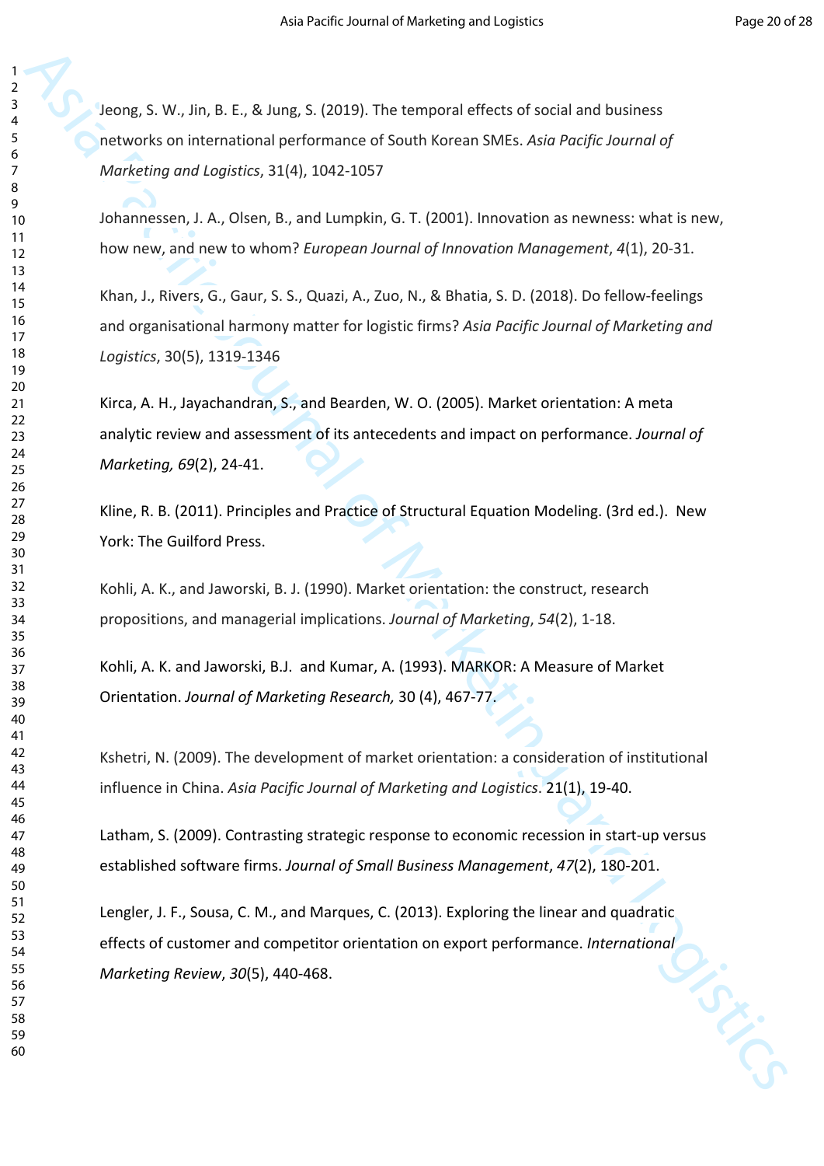Jeong, S. W., Jin, B. E., & Jung, S. (2019). The temporal effects of social and business networks on international performance of South Korean SMEs. *Asia Pacific Journal of Marketing and Logistics*, 31(4), 1042-1057

Johannessen, J. A., Olsen, B., and Lumpkin, G. T. (2001). Innovation as newness: what is new, how new, and new to whom? *European Journal of Innovation Management*, *4*(1), 20-31.

Report S. W., J.B., B. L. & June 5. (2019), The tremporal effects of social and business<br>
retworks on international performance of South Korean SMEs. As proprio counter of<br>
Marketing mult Logivine, 3:1(4), 1042-1057<br>
Johan Khan, J., Rivers, G., Gaur, S. S., Quazi, A., Zuo, N., & Bhatia, S. D. (2018). Do fellow-feelings and organisational harmony matter for logistic firms? *Asia Pacific Journal of Marketing and Logistics*, 30(5), 1319-1346

Kirca, A. H., Jayachandran, S., and Bearden, W. O. (2005). Market orientation: A meta analytic review and assessment of its antecedents and impact on performance. *Journal of Marketing, 69*(2), 24-41.

Kline, R. B. (2011). Principles and Practice of Structural Equation Modeling. (3rd ed.). New York: The Guilford Press.

Kohli, A. K., and Jaworski, B. J. (1990). Market orientation: the construct, research propositions, and managerial implications. *Journal of Marketing*, *54*(2), 1-18.

Kohli, A. K. and Jaworski, B.J. and Kumar, A. (1993). MARKOR: A Measure of Market Orientation. *Journal of Marketing Research,* 30 (4), 467-77.

Kshetri, N. (2009). The development of market orientation: a consideration of institutional influence in China. *Asia Pacific Journal of Marketing and Logistics*. 21(1), 19-40.

Latham, S. (2009). Contrasting strategic response to economic recession in start-up versus established software firms. *Journal of Small Business Management*, *47*(2), 180-201.

Lengler, J. F., Sousa, C. M., and Marques, C. (2013). Exploring the linear and quadratic effects of customer and competitor orientation on export performance. *International Marketing Review*, *30*(5), 440-468.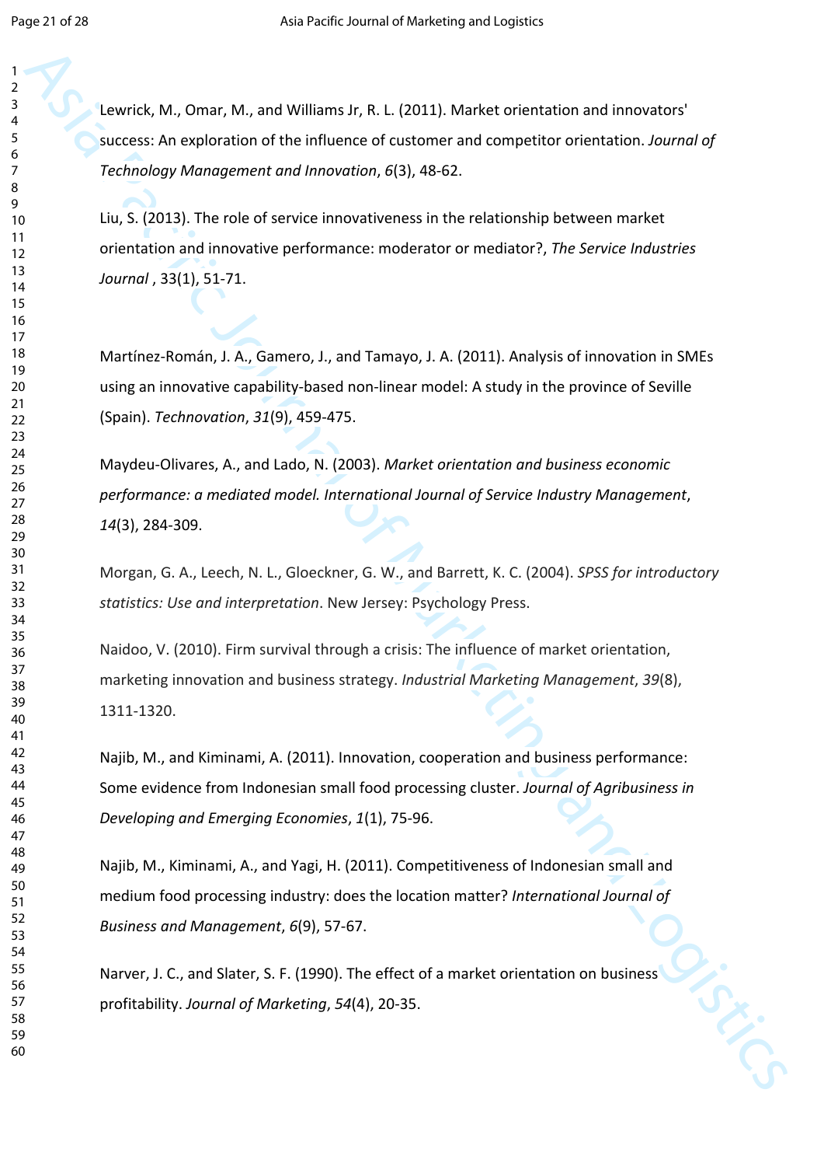Leavitck, Ma, Omar, Ma, and Williams Jr, R. L. (2011). Notice orderstation and innovators'<br>
stockets. An exploration of the influence of customer and competitor orientation, approached Trechonically Maragoment and innovat Lewrick, M., Omar, M., and Williams Jr, R. L. (2011). Market orientation and innovators' success: An exploration of the influence of customer and competitor orientation. *Journal of Technology Management and Innovation*, *6*(3), 48-62.

Liu, S. (2013). The role of service innovativeness in the relationship between market orientation and innovative performance: moderator or mediator?, *The Service Industries Journal* , 33(1), 51-71.

Martínez-Román, J. A., Gamero, J., and Tamayo, J. A. (2011). Analysis of innovation in SMEs using an innovative capability-based non-linear model: A study in the province of Seville (Spain). *Technovation*, *31*(9), 459-475.

Maydeu-Olivares, A., and Lado, N. (2003). *Market orientation and business economic performance: a mediated model. International Journal of Service Industry Management*, (3), 284-309.

Morgan, G. A., Leech, N. L., Gloeckner, G. W., and Barrett, K. C. (2004). *SPSS for introductory statistics: Use and interpretation*. New Jersey: Psychology Press.

Naidoo, V. (2010). Firm survival through a crisis: The influence of market orientation, marketing innovation and business strategy. *Industrial Marketing Management*, *39*(8), 1311-1320.

Najib, M., and Kiminami, A. (2011). Innovation, cooperation and business performance: Some evidence from Indonesian small food processing cluster. *Journal of Agribusiness in Developing and Emerging Economies*, *1*(1), 75-96.

Najib, M., Kiminami, A., and Yagi, H. (2011). Competitiveness of Indonesian small and medium food processing industry: does the location matter? *International Journal of Business and Management*, *6*(9), 57-67.

Narver, J. C., and Slater, S. F. (1990). The effect of a market orientation on business profitability. *Journal of Marketing*, *54*(4), 20-35.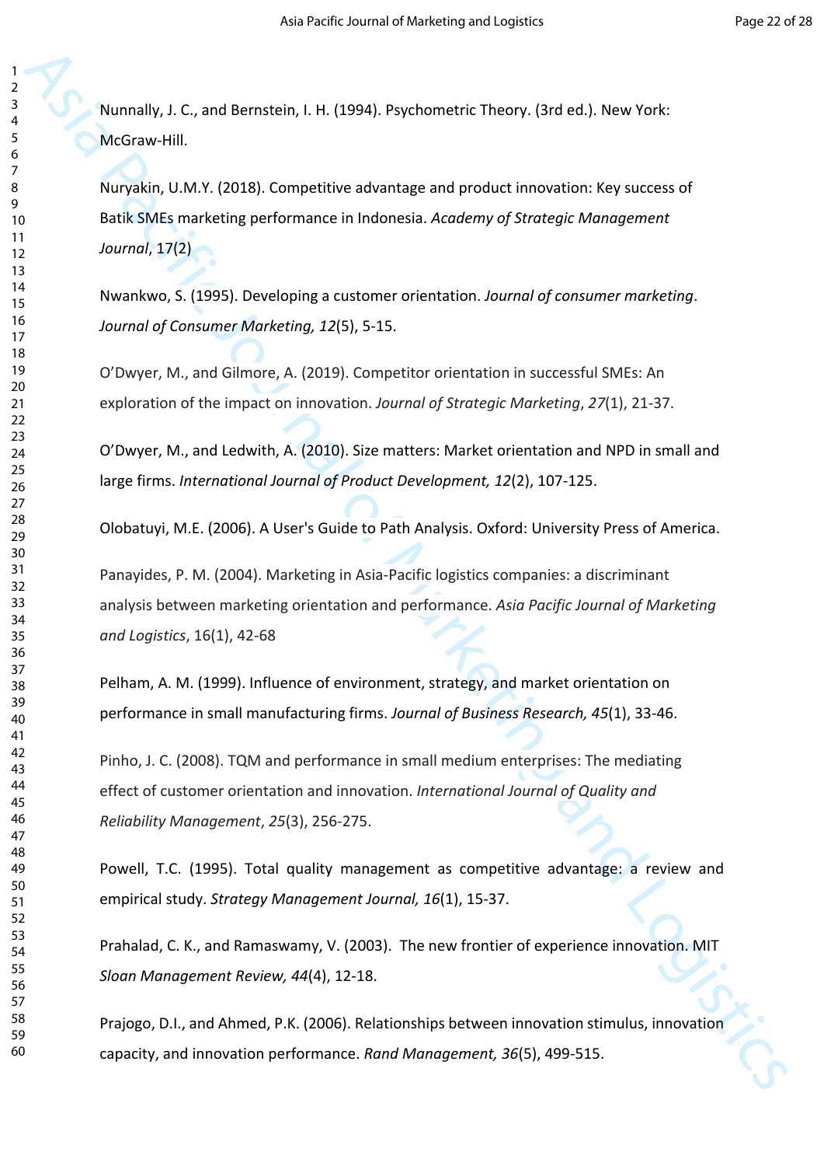Nunnally, J. C., and Bernstein, I. H. (1994). Psychometric Theory. (3rd ed.). New York: McGraw-Hill.

Nuryakin, U.M.Y. (2018). Competitive advantage and product innovation: Key success of Batik SMEs marketing performance in Indonesia. *Academy of Strategic Management Journal*, 17(2)

Nwankwo, S. (1995). Developing a customer orientation. *Journal of consumer marketing*. *Journal of Consumer Marketing, 12*(5), 5-15.

O'Dwyer, M., and Gilmore, A. (2019). Competitor orientation in successful SMEs: An exploration of the impact on innovation. *Journal of Strategic Marketing*, *27*(1), 21-37.

O'Dwyer, M., and Ledwith, A. (2010). Size matters: Market orientation and NPD in small and large firms. *International Journal of Product Development, 12*(2), 107-125.

Olobatuyi, M.E. (2006). A User's Guide to Path Analysis. Oxford: University Press of America.

Nunnally, J. C., and semstein, L.H. (1994). Psychonetric Interior, (3rd ed.). New York:<br>
McGrave-HIII. McGrave-HIII. At CO13). Competitive advantage and product innovation: Key success of<br>
Datik SMSE, marketing performanc Panayides, P. M. (2004). Marketing in Asia-Pacific logistics companies: a discriminant analysis between marketing orientation and performance. *Asia Pacific Journal of Marketing and Logistics*, 16(1), 42-68

Pelham, A. M. (1999). Influence of environment, strategy, and market orientation on performance in small manufacturing firms. *Journal of Business Research, 45*(1), 33-46.

Pinho, J. C. (2008). TQM and performance in small medium enterprises: The mediating effect of customer orientation and innovation. *International Journal of Quality and Reliability Management*, *25*(3), 256-275.

Powell, T.C. (1995). Total quality management as competitive advantage: a review and empirical study. *Strategy Management Journal, 16*(1), 15-37.

Prahalad, C. K., and Ramaswamy, V. (2003). The new frontier of experience innovation. MIT *Sloan Management Review, 44*(4), 12-18.

Prajogo, D.I., and Ahmed, P.K. (2006). Relationships between innovation stimulus, innovation capacity, and innovation performance. *Rand Management, 36*(5), 499-515.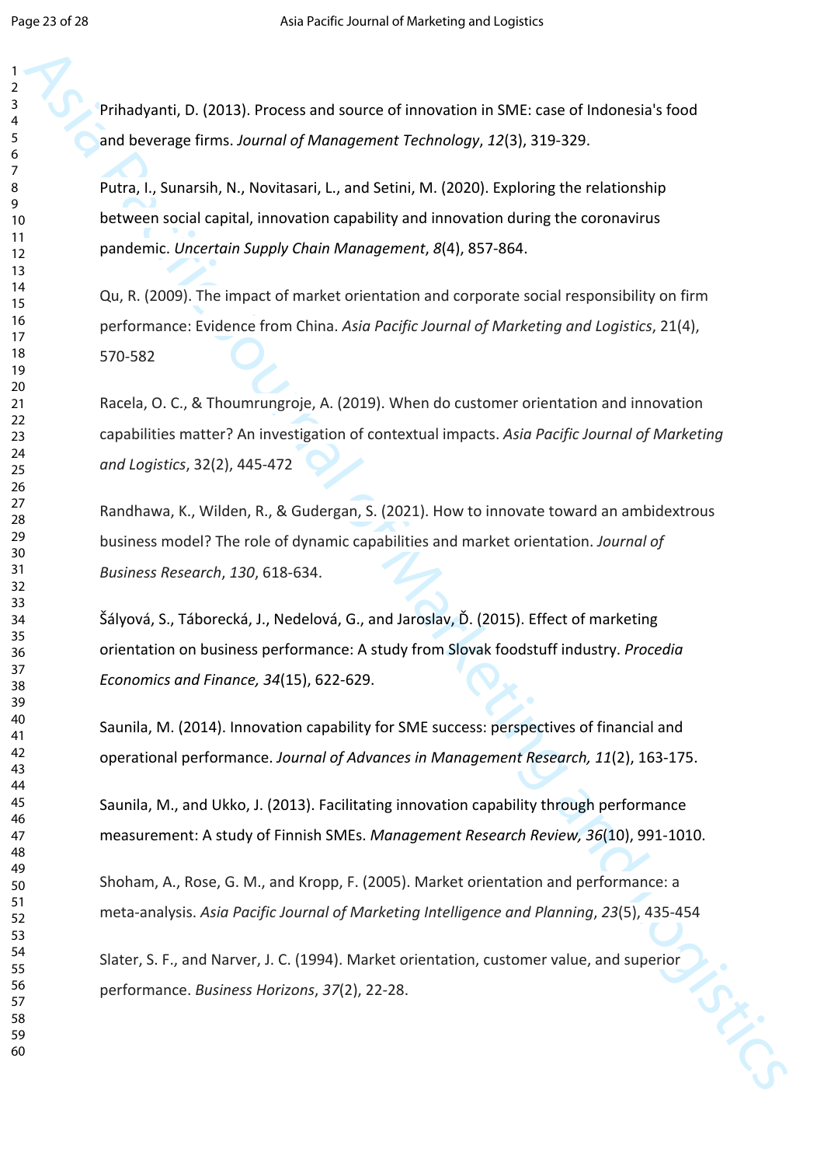Prihadyanti, D. (2013). Process and source of innovation in SME: case of Indonesia's food and beverage firms. *Journal of Management Technology*, *12*(3), 319-329.

Putra, I., Sunarsih, N., Novitasari, L., and Setini, M. (2020). Exploring the relationship between social capital, innovation capability and innovation during the coronavirus pandemic. *Uncertain Supply Chain Management*, *8*(4), 857-864.

First<br>advants, D. (2013). Process and scurre of innovation in SAR: case of indonesia's food<br>and benerage firms. Journal of Manogeneart Technology, 22(3), 319-329.<br>Pacific Journal of Marketing and Settlin, M. (2020). Useph Qu, R. (2009). The impact of market orientation and corporate social responsibility on firm performance: Evidence from China. *Asia Pacific Journal of Marketing and Logistics*, 21(4), 570-582

Racela, O. C., & Thoumrungroje, A. (2019). When do customer orientation and innovation capabilities matter? An investigation of contextual impacts. *Asia Pacific Journal of Marketing and Logistics*, 32(2), 445-472

Randhawa, K., Wilden, R., & Gudergan, S. (2021). How to innovate toward an ambidextrous business model? The role of dynamic capabilities and market orientation. *Journal of Business Research*, *130*, 618-634.

Šályová, S., Táborecká, J., Nedelová, G., and Jaroslav, Ď. (2015). Effect of marketing orientation on business performance: A study from Slovak foodstuff industry. *Procedia Economics and Finance, 34*(15), 622-629.

Saunila, M. (2014). Innovation capability for SME success: perspectives of financial and operational performance. *Journal of Advances in Management Research, 11*(2), 163-175.

Saunila, M., and Ukko, J. (2013). Facilitating innovation capability through performance measurement: A study of Finnish SMEs. *Management Research Review, 36*(10), 991-1010.

Shoham, A., Rose, G. M., and Kropp, F. (2005). Market orientation and performance: a meta-analysis. *Asia Pacific Journal of Marketing Intelligence and Planning*, *23*(5), 435-454

Slater, S. F., and Narver, J. C. (1994). Market orientation, customer value, and superior performance. *Business Horizons*, *37*(2), 22-28.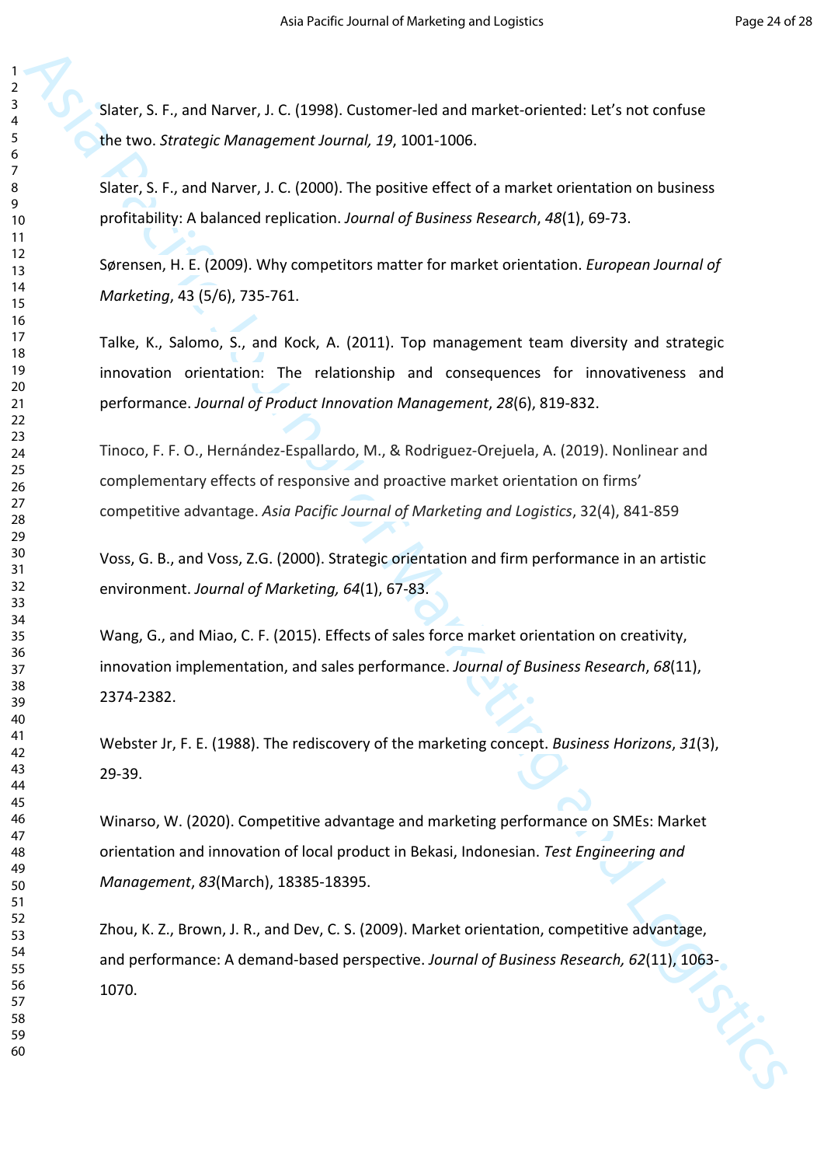Slater, S. F., and Narver, J. C. (1998). Customer-led and market-oriented: Let's not confuse the two. *Strategic Management Journal, 19*, 1001-1006.

Slater, S. F., and Narver, J. C. (2000). The positive effect of a market orientation on business profitability: A balanced replication. *Journal of Business Research*, *48*(1), 69-73.

Sørensen, H. E. (2009). Why competitors matter for market orientation. *European Journal of Marketing*, 43 (5/6), 735-761.

Sister, S. F., and Nienver, J. C. (1998). Catsomer-led and market-onemed. Let's not confuse<br>the two. Strategic Marketing A. 2000). The positive effect of a market-onemetric on business<br>groottes J. F., and Nienver, J. C. ( Talke, K., Salomo, S., and Kock, A. (2011). Top management team diversity and strategic innovation orientation: The relationship and consequences for innovativeness and performance. *Journal of Product Innovation Management*, *28*(6), 819-832.

Tinoco, F. F. O., Hernández-Espallardo, M., & Rodriguez-Orejuela, A. (2019). Nonlinear and complementary effects of responsive and proactive market orientation on firms' competitive advantage. *Asia Pacific Journal of Marketing and Logistics*, 32(4), 841-859

Voss, G. B., and Voss, Z.G. (2000). Strategic orientation and firm performance in an artistic environment. *Journal of Marketing, 64*(1), 67-83.

Wang, G., and Miao, C. F. (2015). Effects of sales force market orientation on creativity, innovation implementation, and sales performance. *Journal of Business Research*, *68*(11), 2374-2382.

Webster Jr, F. E. (1988). The rediscovery of the marketing concept. *Business Horizons*, *31*(3), 29-39.

Winarso, W. (2020). Competitive advantage and marketing performance on SMEs: Market orientation and innovation of local product in Bekasi, Indonesian. *Test Engineering and Management*, *83*(March), 18385-18395.

Zhou, K. Z., Brown, J. R., and Dev, C. S. (2009). Market orientation, competitive advantage, and performance: A demand-based perspective. *Journal of Business Research, 62*(11), 1063- 1070.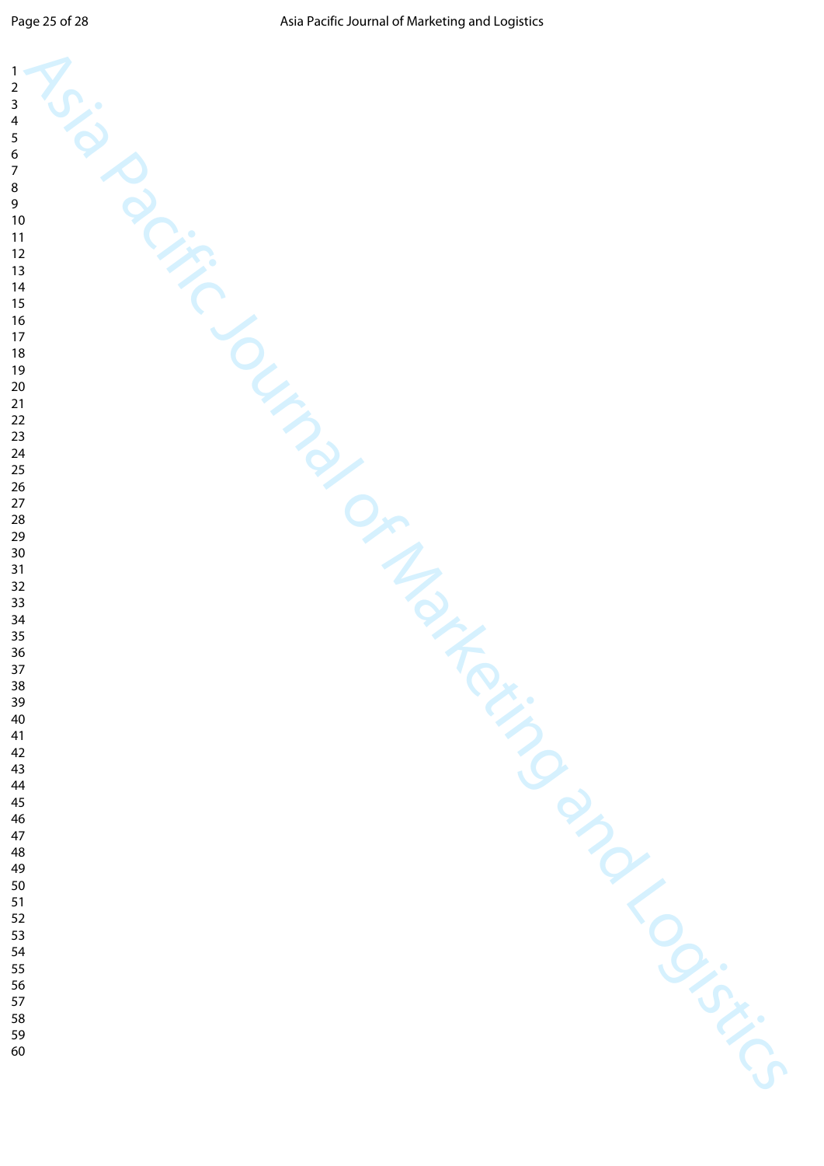| $\mathbf{1}$                                    |  |
|-------------------------------------------------|--|
| 2<br>3<br>4<br>5<br>6<br>7<br>8<br>9<br>10      |  |
|                                                 |  |
|                                                 |  |
|                                                 |  |
| $\begin{array}{c} 11 \\ 12 \end{array}$<br>$13$ |  |
| $14$<br>$\frac{15}{16}$                         |  |
| $17\,$<br>$18\,$                                |  |
| $19$<br>$20\,$                                  |  |
|                                                 |  |
| 21<br>22<br>23<br>24<br>25<br>26<br>27          |  |
| ${\bf 28}$                                      |  |
| 29<br>$30\,$                                    |  |
| $\frac{31}{32}$<br>33                           |  |
| $\begin{array}{c} 34 \\ 35 \\ 36 \end{array}$   |  |
| $37\,$                                          |  |
| 38<br>39<br>$40\,$                              |  |
| 41<br>$42\,$                                    |  |
| $43\,$<br>44<br>45<br>46                        |  |
| $47\,$                                          |  |
| $\bf 48$<br>49<br>$50\,$                        |  |
| $51\,$<br>52                                    |  |
| 53<br>54                                        |  |
| 55<br>56<br>57                                  |  |
| 58<br>59<br>60                                  |  |
|                                                 |  |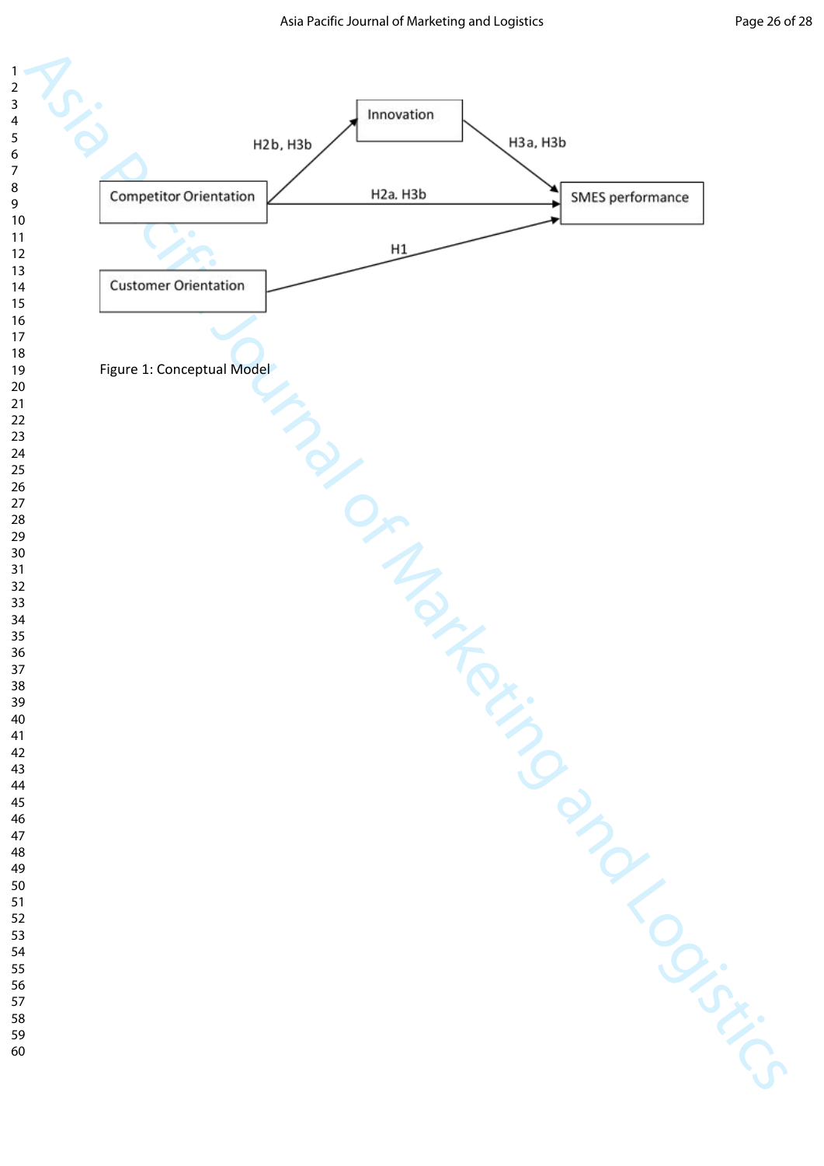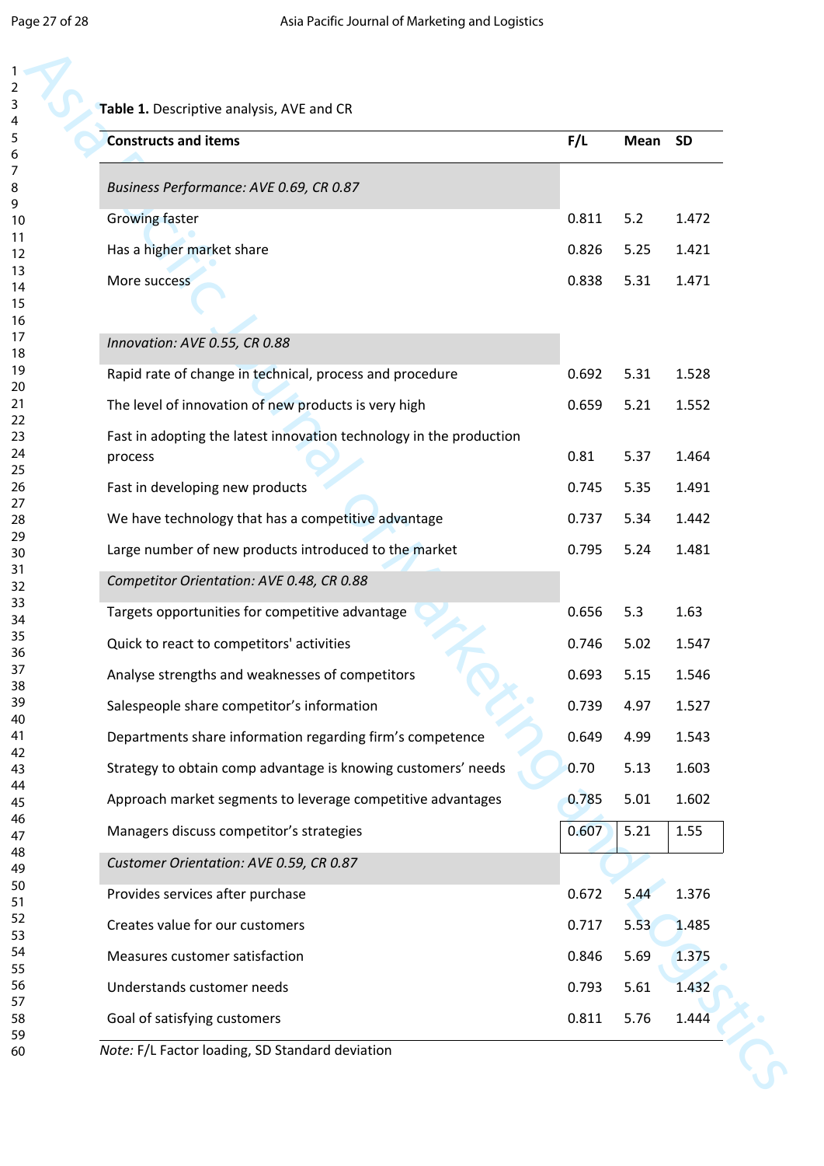#### **Table 1.** Descriptive analysis, AVE and CR

| <b>Constructs and items</b>                                                    | F/L   | Mean | <b>SD</b> |
|--------------------------------------------------------------------------------|-------|------|-----------|
| Business Performance: AVE 0.69, CR 0.87                                        |       |      |           |
| Growing faster                                                                 | 0.811 | 5.2  | 1.472     |
| Has a higher market share                                                      | 0.826 | 5.25 | 1.421     |
| More success                                                                   | 0.838 | 5.31 | 1.471     |
| Innovation: AVE 0.55, CR 0.88                                                  |       |      |           |
| Rapid rate of change in technical, process and procedure                       | 0.692 | 5.31 | 1.528     |
| The level of innovation of new products is very high                           | 0.659 | 5.21 | 1.552     |
| Fast in adopting the latest innovation technology in the production<br>process | 0.81  | 5.37 | 1.464     |
| Fast in developing new products                                                | 0.745 | 5.35 | 1.491     |
| We have technology that has a competitive advantage                            | 0.737 | 5.34 | 1.442     |
| Large number of new products introduced to the market                          | 0.795 | 5.24 | 1.481     |
| Competitor Orientation: AVE 0.48, CR 0.88                                      |       |      |           |
| Targets opportunities for competitive advantage                                | 0.656 | 5.3  | 1.63      |
| Quick to react to competitors' activities                                      | 0.746 | 5.02 | 1.547     |
| Analyse strengths and weaknesses of competitors                                | 0.693 | 5.15 | 1.546     |
| Salespeople share competitor's information                                     | 0.739 | 4.97 | 1.527     |
| Departments share information regarding firm's competence                      | 0.649 | 4.99 | 1.543     |
| Strategy to obtain comp advantage is knowing customers' needs                  | 0.70  | 5.13 | 1.603     |
| Approach market segments to leverage competitive advantages                    | 0.785 | 5.01 | 1.602     |
| Managers discuss competitor's strategies                                       | 0.607 | 5.21 | 1.55      |
| Customer Orientation: AVE 0.59, CR 0.87                                        |       |      |           |
| Provides services after purchase                                               | 0.672 | 5.44 | 1.376     |
| Creates value for our customers                                                | 0.717 | 5.53 | 1.485     |
| Measures customer satisfaction                                                 | 0.846 | 5.69 | 1.375     |
| Understands customer needs                                                     | 0.793 | 5.61 | 1.432     |
| Goal of satisfying customers                                                   | 0.811 | 5.76 | 1.444     |